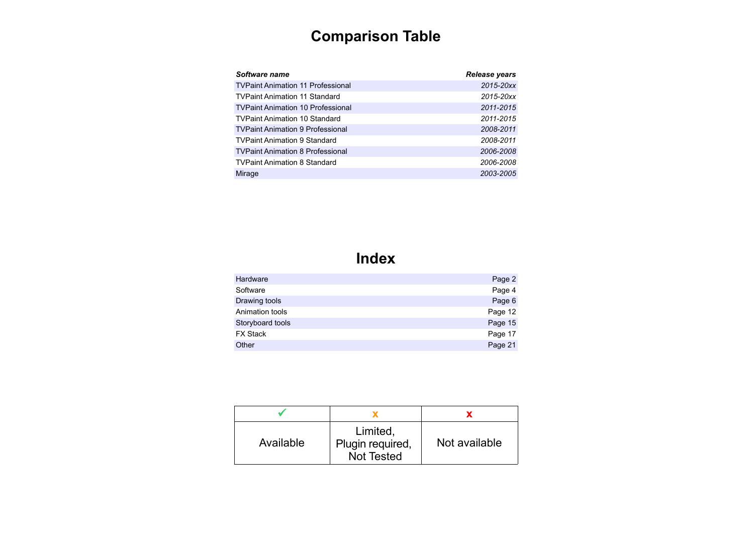# **Comparison Table**

| Software name                            | Release years |
|------------------------------------------|---------------|
| <b>TVPaint Animation 11 Professional</b> | 2015-20xx     |
| <b>TVPaint Animation 11 Standard</b>     | 2015-20xx     |
| <b>TVPaint Animation 10 Professional</b> | 2011-2015     |
| <b>TVPaint Animation 10 Standard</b>     | 2011-2015     |
| <b>TVPaint Animation 9 Professional</b>  | 2008-2011     |
| <b>TVPaint Animation 9 Standard</b>      | 2008-2011     |
| <b>TVPaint Animation 8 Professional</b>  | 2006-2008     |
| <b>TVPaint Animation 8 Standard</b>      | 2006-2008     |
| Mirage                                   | 2003-2005     |

## **Index**

| Hardware         | Page 2  |
|------------------|---------|
| Software         | Page 4  |
| Drawing tools    | Page 6  |
| Animation tools  | Page 12 |
| Storyboard tools | Page 15 |
| <b>FX Stack</b>  | Page 17 |
| Other            | Page 21 |
|                  |         |

| Available | Limited,<br>Plugin required,<br>Not Tested | Not available |
|-----------|--------------------------------------------|---------------|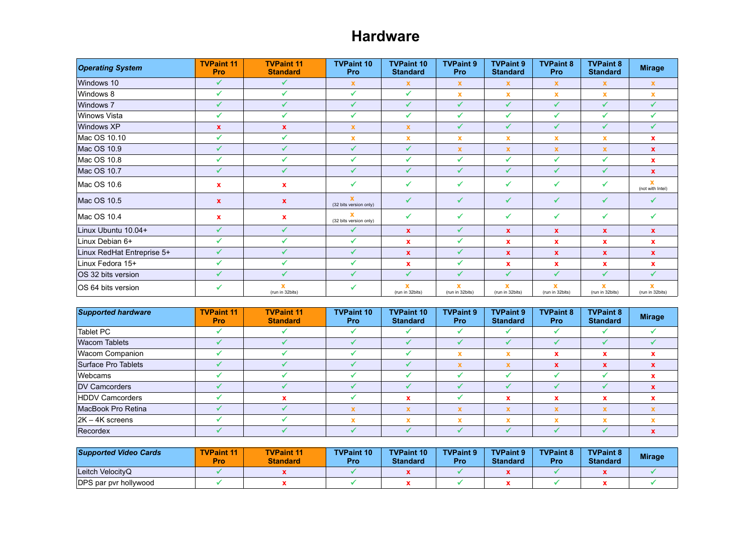#### **Hardware**

| <b>Operating System</b>    | <b>TVPaint 11</b><br>Pro | <b>TVPaint 11</b><br><b>Standard</b> | <b>TVPaint 10</b><br>Pro               | <b>TVPaint 10</b><br><b>Standard</b> | <b>TVPaint 9</b><br>Pro        | <b>TVPaint 9</b><br><b>Standard</b> | <b>TVPaint 8</b><br>Pro        | <b>TVPaint 8</b><br><b>Standard</b> | <b>Mirage</b>                               |
|----------------------------|--------------------------|--------------------------------------|----------------------------------------|--------------------------------------|--------------------------------|-------------------------------------|--------------------------------|-------------------------------------|---------------------------------------------|
| Windows 10                 | ✓                        | ✓                                    | $\mathbf x$                            | $\mathbf x$                          | $\mathbf{x}$                   | $\mathbf x$                         | $\mathbf x$                    | $\boldsymbol{\mathsf{x}}$           | $\mathbf x$                                 |
| Windows 8                  | $\checkmark$             | ✓                                    | $\checkmark$                           | $\checkmark$                         | $\mathbf x$                    | $\mathbf x$                         | $\mathbf x$                    | $\boldsymbol{\mathsf{x}}$           | $\mathbf x$                                 |
| Windows 7                  | ✔                        | ✓                                    | $\checkmark$                           | ✔                                    | ✓                              | ✔                                   | ✔                              | ✔                                   | ✔                                           |
| <b>Winows Vista</b>        | ✔                        | ✓                                    | $\checkmark$                           | $\checkmark$                         | ✔                              | $\checkmark$                        | $\checkmark$                   | ✔                                   | ✓                                           |
| Windows XP                 | $\mathbf{x}$             | $\mathbf{x}$                         | $\pmb{\mathsf{x}}$                     | $\mathbf x$                          | ✔                              | ✔                                   | $\checkmark$                   | $\sqrt{2}$                          | ✔                                           |
| Mac OS 10.10               | ✔                        | $\checkmark$                         | $\mathbf x$                            | $\mathbf x$                          | $\mathbf x$                    | $\mathbf x$                         | $\mathbf x$                    | $\mathbf x$                         | $\boldsymbol{\mathsf{x}}$                   |
| Mac OS 10.9                | ✓                        |                                      | $\checkmark$                           | $\checkmark$                         | $\mathbf x$                    | $\mathbf x$                         | $\boldsymbol{\mathsf{x}}$      | $\mathbf x$                         | $\mathbf x$                                 |
| Mac OS 10.8                | $\checkmark$             |                                      | ✔                                      | $\checkmark$                         | ✔                              | ✔                                   | $\checkmark$                   | $\checkmark$                        | $\mathbf x$                                 |
| Mac OS 10.7                | ✓                        | $\mathcal{L}$                        | $\checkmark$                           | $\checkmark$                         | ✓                              | $\checkmark$                        | $\checkmark$                   | ✓                                   | $\mathbf{x}$                                |
| Mac OS 10.6                | x                        | $\mathbf{x}$                         | $\checkmark$                           | ✔                                    | $\checkmark$                   | ✔                                   | ✓                              | ✔                                   | $\overline{\mathbf{x}}$<br>(not with Intel) |
| Mac OS 10.5                | $\mathbf{x}$             | $\mathbf{x}$                         | $\mathbf x$<br>(32 bits version only)  | ✔                                    | ✓                              | ✔                                   | ✓                              | ✔                                   |                                             |
| Mac OS 10.4                | x                        | $\mathbf{x}$                         | $\mathbf{x}$<br>(32 bits version only) | ✔                                    | ✓                              | ✔                                   | $\checkmark$                   | ✔                                   | ✓                                           |
| Linux Ubuntu 10.04+        | $\checkmark$             | ✓                                    | ✔                                      | $\mathbf{x}$                         | $\checkmark$                   | $\mathbf{x}$                        | $\boldsymbol{\mathsf{x}}$      | $\mathbf x$                         | $\mathbf{x}$                                |
| Linux Debian 6+            | ✔                        |                                      | $\checkmark$                           | $\mathbf x$                          | ✔                              | $\mathbf x$                         | $\mathbf x$                    | $\mathbf x$                         | $\mathbf x$                                 |
| Linux RedHat Entreprise 5+ | ✓                        |                                      | $\checkmark$                           | $\mathbf{x}$                         | ✔                              | $\mathbf x$                         | $\mathbf x$                    | $\mathbf x$                         | $\pmb{\mathsf{x}}$                          |
| Linux Fedora 15+           | ✓                        |                                      | $\checkmark$                           | $\mathbf x$                          | ✔                              | $\mathbf x$                         | $\boldsymbol{\mathsf{x}}$      | x                                   | $\mathbf x$                                 |
| OS 32 bits version         | ✓                        |                                      | $\checkmark$                           | $\checkmark$                         | ✔                              | $\checkmark$                        | $\checkmark$                   | ✔                                   | $\checkmark$                                |
| OS 64 bits version         | ✔                        | (run in 32bits)                      | ✔                                      | $\mathbf x$<br>(run in 32bits)       | $\mathbf x$<br>(run in 32bits) | $\mathbf x$<br>(run in 32bits)      | $\mathbf x$<br>(run in 32bits) | $\mathbf x$<br>(run in 32bits)      | $\overline{\mathbf{x}}$<br>(run in 32bits)  |

| <b>Supported hardware</b> | <b>TVPaint 11</b><br><b>Pro</b> | <b>TVPaint 11</b><br><b>Standard</b> | <b>TVPaint 10</b><br><b>Pro</b> | <b>TVPaint 10</b><br><b>Standard</b> | <b>TVPaint 9</b><br><b>Pro</b> | <b>TVPaint 9</b><br><b>Standard</b> | <b>TVPaint 8</b><br><b>Pro</b> | <b>TVPaint 8</b><br><b>Standard</b> | <b>Mirage</b> |
|---------------------------|---------------------------------|--------------------------------------|---------------------------------|--------------------------------------|--------------------------------|-------------------------------------|--------------------------------|-------------------------------------|---------------|
| Tablet PC                 |                                 |                                      |                                 |                                      |                                |                                     |                                |                                     |               |
| <b>Wacom Tablets</b>      |                                 |                                      |                                 |                                      |                                |                                     |                                |                                     |               |
| <b>Wacom Companion</b>    |                                 |                                      |                                 |                                      | $\mathbf{v}$                   | w                                   | x                              | x                                   |               |
| Surface Pro Tablets       |                                 |                                      |                                 |                                      |                                |                                     | $\mathbf x$                    | X                                   | $\mathbf x$   |
| Webcams                   |                                 |                                      |                                 |                                      |                                |                                     |                                |                                     |               |
| <b>DV Camcorders</b>      |                                 |                                      |                                 |                                      |                                |                                     |                                |                                     |               |
| <b>HDDV Camcorders</b>    |                                 |                                      |                                 |                                      |                                |                                     |                                |                                     |               |
| MacBook Pro Retina        |                                 |                                      | X                               |                                      |                                |                                     |                                |                                     |               |
| $ 2K - 4K$ screens        |                                 |                                      | x                               |                                      |                                |                                     | $\overline{\phantom{a}}$       | $\overline{\phantom{a}}$            |               |
| Recordex                  |                                 |                                      |                                 |                                      |                                |                                     |                                |                                     |               |

| <b>Supported Video Cards</b> | <b>TVPaint 11</b><br><b>Pro</b> | <b>TVPaint 11</b><br><b>Standard</b> | <b>TVPaint 10</b><br>Pro | <b>TVPaint 10</b><br><b>Standard</b> | <b>TVPaint 9</b><br>Pro | <b>TVPaint 9</b><br><b>Standard</b> | <b>TVPaint 8</b><br>Pro | <b>TVPaint 8</b><br><b>Standard</b> | <b>Mirage</b> |
|------------------------------|---------------------------------|--------------------------------------|--------------------------|--------------------------------------|-------------------------|-------------------------------------|-------------------------|-------------------------------------|---------------|
| Leitch VelocityQ             |                                 |                                      |                          |                                      |                         |                                     |                         |                                     |               |
| DPS par pyr hollywood        |                                 |                                      |                          |                                      |                         |                                     |                         |                                     |               |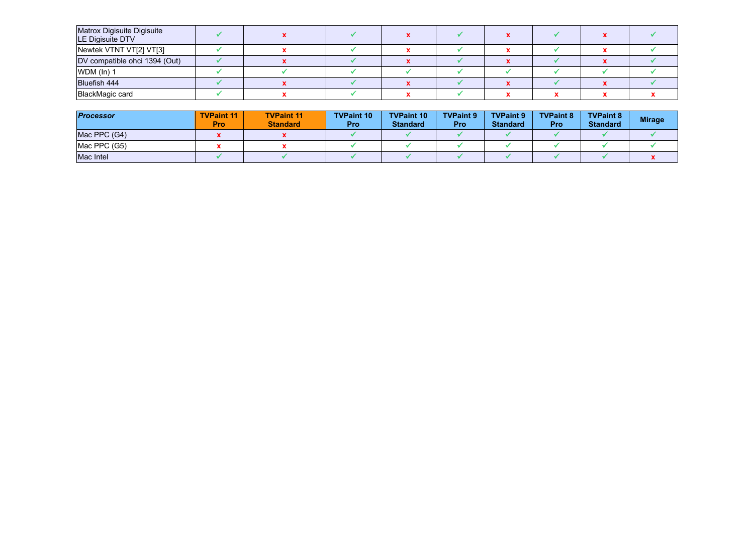| Matrox Digisuite Digisuite<br>LE Digisuite DTV |  |  |  |  |  |
|------------------------------------------------|--|--|--|--|--|
| Newtek VTNT VT[2] VT[3]                        |  |  |  |  |  |
| DV compatible ohci 1394 (Out)                  |  |  |  |  |  |
| $WDM$ (ln) 1                                   |  |  |  |  |  |
| <b>Bluefish 444</b>                            |  |  |  |  |  |
| BlackMagic card                                |  |  |  |  |  |

| <b>Processor</b> | <b>TVPaint 11</b><br><b>Pro</b> | <b>TVPaint 11</b><br><b>Standard</b> | <b>TVPaint 10</b><br>Pro | <b>TVPaint 10</b><br><b>Standard</b> | <b>TVPaint 9</b><br>Pro | <b>TVPaint 9</b><br><b>Standard</b> | <b>TVPaint 8</b><br>Pro | <b>TVPaint 8</b><br><b>Standard</b> | <b>Mirage</b> |
|------------------|---------------------------------|--------------------------------------|--------------------------|--------------------------------------|-------------------------|-------------------------------------|-------------------------|-------------------------------------|---------------|
| Mac PPC (G4)     |                                 |                                      |                          |                                      |                         |                                     |                         |                                     |               |
| Mac PPC (G5)     |                                 |                                      |                          |                                      |                         |                                     |                         |                                     |               |
| Mac Intel        |                                 |                                      |                          |                                      |                         |                                     |                         |                                     |               |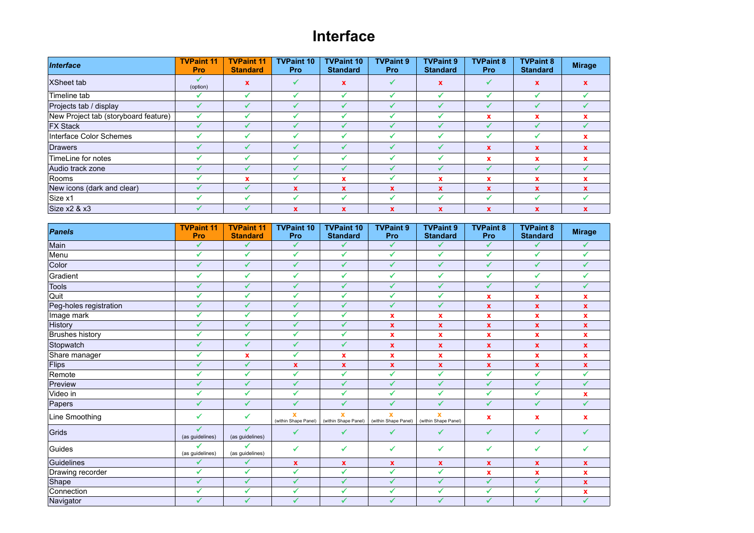### **Interface**

| Interface                            | <b>TVPaint 11</b><br><b>Pro</b> | <b>TVPaint 11</b><br><b>Standard</b> | <b>TVPaint 10</b><br><b>Pro</b> | <b>TVPaint 10</b><br><b>Standard</b> | <b>TVPaint 9</b><br><b>Pro</b> | <b>TVPaint 9</b><br><b>Standard</b> | <b>TVPaint 8</b><br><b>Pro</b> | <b>TVPaint 8</b><br><b>Standard</b> | <b>Mirage</b> |
|--------------------------------------|---------------------------------|--------------------------------------|---------------------------------|--------------------------------------|--------------------------------|-------------------------------------|--------------------------------|-------------------------------------|---------------|
| <b>XSheet tab</b>                    | (option)                        | X                                    |                                 | X                                    |                                | $\mathbf x$                         |                                | $\mathbf x$                         | $\mathbf{x}$  |
| Timeline tab                         |                                 |                                      |                                 |                                      |                                | ✔                                   |                                |                                     |               |
| Projects tab / display               | ✔                               |                                      |                                 |                                      |                                |                                     |                                |                                     |               |
| New Project tab (storyboard feature) | ✔                               |                                      |                                 |                                      |                                |                                     | x                              | x                                   | x             |
| <b>FX Stack</b>                      | ✔                               |                                      |                                 |                                      |                                |                                     |                                |                                     |               |
| Interface Color Schemes              | ✔                               |                                      |                                 |                                      | ✔                              |                                     |                                |                                     | $\mathbf x$   |
| Drawers                              |                                 |                                      |                                 |                                      | J                              | ↵                                   | $\mathbf x$                    | x                                   | $\mathbf{x}$  |
| TimeLine for notes                   |                                 |                                      |                                 |                                      |                                |                                     | x                              | x                                   | $\mathbf{x}$  |
| Audio track zone                     |                                 |                                      |                                 |                                      |                                |                                     |                                |                                     |               |
| Rooms                                |                                 | $\mathbf x$                          |                                 | X                                    |                                | $\mathbf x$                         | x                              | x                                   | $\mathbf x$   |
| New icons (dark and clear)           |                                 |                                      | $\mathbf{x}$                    | $\mathbf x$                          | x                              | $\mathbf x$                         | $\mathbf{x}$                   | x                                   | $\mathbf{x}$  |
| Size x1                              | J                               |                                      |                                 |                                      | ✔                              |                                     |                                |                                     |               |
| Size $x2 & 8x3$                      |                                 |                                      | $\mathbf x$                     | x                                    | X                              | $\mathbf x$                         | $\mathbf{x}$                   | X                                   | X             |

| Panels                 | <b>TVPaint 11</b><br>Pro | <b>TVPaint 11</b><br><b>Standard</b> | <b>TVPaint 10</b><br>Pro             | <b>TVPaint 10</b><br><b>Standard</b> | <b>TVPaint 9</b><br>Pro             | <b>TVPaint 9</b><br><b>Standard</b>             | <b>TVPaint 8</b><br>Pro | <b>TVPaint 8</b><br><b>Standard</b> | <b>Mirage</b>             |
|------------------------|--------------------------|--------------------------------------|--------------------------------------|--------------------------------------|-------------------------------------|-------------------------------------------------|-------------------------|-------------------------------------|---------------------------|
| Main                   | ✔                        | $\checkmark$                         | $\mathcal{L}$                        | ✔                                    | ✔                                   | ✔                                               | ✔                       | ✓                                   | $\checkmark$              |
| Menu                   | ✔                        | $\checkmark$                         | ✔                                    | $\checkmark$                         | ✔                                   | ✔                                               | $\checkmark$            | ✓                                   | $\checkmark$              |
| Color                  | ✓                        | $\checkmark$                         | ✓                                    | ✔                                    | ✓                                   | $\checkmark$                                    | $\checkmark$            | $\checkmark$                        | ✓                         |
| Gradient               | ✔                        | ✔                                    | ✔                                    | ✔                                    | ✓                                   | ✔                                               | ✔                       | ✓                                   | ✓                         |
| <b>Tools</b>           | ✔                        | ✓                                    | ✔                                    | ✔                                    | ✔                                   | ✔                                               | ✓                       | ✔                                   | ✔                         |
| Quit                   | ✔                        | ✔                                    | ✓                                    | $\checkmark$                         | ✔                                   | ✔                                               | $\mathbf x$             | x                                   | $\mathbf x$               |
| Peg-holes registration | $\checkmark$             | $\checkmark$                         | ✓                                    | ✓                                    | ✔                                   | $\checkmark$                                    | $\pmb{\mathsf{x}}$      | $\mathbf{x}$                        | $\boldsymbol{\mathsf{x}}$ |
| Image mark             | ✓                        | ✔                                    | $\checkmark$                         | ✔                                    | $\mathbf{x}$                        | $\mathbf x$                                     | $\mathbf x$             | x                                   | $\mathbf x$               |
| History                | ✔                        | $\checkmark$                         | $\sqrt{2}$                           | ✔                                    | $\mathbf{x}$                        | $\mathbf{x}$                                    | $\pmb{\chi}$            | $\mathbf{x}$                        | $\mathbf x$               |
| <b>Brushes history</b> | ✔                        | $\checkmark$                         | ✓                                    | ✔                                    | x                                   | $\mathbf x$                                     | $\pmb{\mathsf{x}}$      | $\mathbf x$                         | $\mathbf{x}$              |
| Stopwatch              | $\checkmark$             | $\checkmark$                         | ✔                                    | $\checkmark$                         | $\mathbf{x}$                        | $\mathbf{x}$                                    | $\pmb{\chi}$            | $\mathbf{x}$                        | $\mathbf x$               |
| Share manager          | ✔                        | x                                    | $\checkmark$                         | $\mathbf x$                          | x                                   | $\mathbf x$                                     | x                       | x                                   | $\boldsymbol{\mathsf{x}}$ |
| Flips                  | ✔                        | $\checkmark$                         | $\mathbf{x}$                         | $\mathbf x$                          | $\mathbf{x}$                        | $\boldsymbol{x}$                                | $\pmb{\chi}$            | $\mathbf{x}$                        | $\boldsymbol{\mathsf{x}}$ |
| Remote                 | ✓                        | ✔                                    | $\mathcal{L}$                        | ✓                                    | ✔                                   | $\checkmark$                                    | ✔                       | ✓                                   | $\overline{\checkmark}$   |
| Preview                | ✔                        | $\checkmark$                         | $\sqrt{2}$                           | ✔                                    | ✓                                   | ✔                                               | $\checkmark$            | ✔                                   | $\checkmark$              |
| Video in               | ✔                        | ✔                                    | ✓                                    | ✔                                    | ✓                                   | ✔                                               | ✓                       | ✓                                   | $\mathbf x$               |
| Papers                 | $\checkmark$             | $\checkmark$                         | $\sqrt{2}$                           | ✓                                    | ✓                                   | $\sqrt{2}$                                      | $\checkmark$            | ✓                                   | ✓                         |
| Line Smoothing         | ✔                        | ✓                                    | $\mathbf{x}$<br>(within Shape Panel) | $\mathbf{x}$<br>(within Shape Panel) | $\mathbf x$<br>(within Shape Panel) | $\overline{\mathbf{x}}$<br>(within Shape Panel) | $\pmb{\mathsf{x}}$      | x                                   | $\boldsymbol{\mathsf{x}}$ |
| Grids                  | ✓<br>(as guidelines)     | ✓<br>(as guidelines)                 | ✓                                    | ✓                                    | ✓                                   | ✔                                               | ✓                       | ✓                                   | $\checkmark$              |
| Guides                 | ✔<br>(as guidelines)     | ✔<br>(as guidelines)                 | ✓                                    | ✔                                    | ✓                                   | ✔                                               | ✔                       | ✔                                   | $\checkmark$              |
| Guidelines             | ✔                        | ✔                                    | $\mathbf{x}$                         | $\mathbf{x}$                         | X                                   | $\mathbf x$                                     | $\mathbf x$             | x                                   | $\mathbf{x}$              |
| Drawing recorder       | ✓                        | $\checkmark$                         | ₹                                    | ✓                                    | $\mathcal{L}$                       | $\bar{\checkmark}$                              | x                       | x                                   | $\boldsymbol{\mathsf{x}}$ |
| Shape                  | ✔                        | ✔                                    | ✔                                    | ✔                                    | ✓                                   | ✔                                               | ✔                       | ✔                                   | $\mathbf x$               |
| Connection             | ✔                        | $\checkmark$                         | $\checkmark$                         | ✔                                    | $\checkmark$                        | ✔                                               | ✔                       | ✓                                   | $\mathbf x$               |
| Navigator              | ✔                        | $\checkmark$                         | ✔                                    | ✔                                    | ✔                                   | $\checkmark$                                    | ✔                       | ✓                                   | $\overline{\checkmark}$   |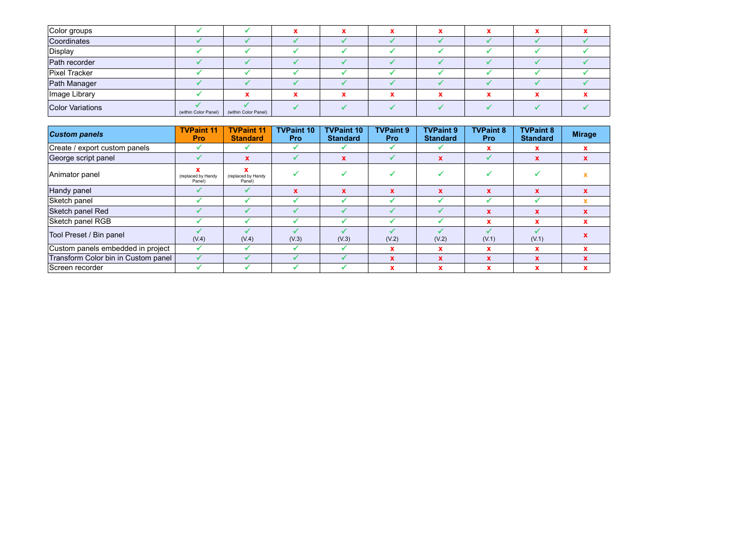| Color groups            |                      |                      |  |  |  |  |
|-------------------------|----------------------|----------------------|--|--|--|--|
| Coordinates             |                      |                      |  |  |  |  |
| Display                 |                      |                      |  |  |  |  |
| Path recorder           |                      |                      |  |  |  |  |
| Pixel Tracker           |                      |                      |  |  |  |  |
| Path Manager            |                      |                      |  |  |  |  |
| Image Library           |                      |                      |  |  |  |  |
| <b>Color Variations</b> | (within Color Panel) | (within Color Panel) |  |  |  |  |

| <b>Custom panels</b>                | <b>TVPaint 11</b><br><b>Pro</b> | <b>TVPaint 11</b><br><b>Standard</b> | <b>TVPaint 10</b><br><b>Pro</b> | <b>TVPaint 10</b><br><b>Standard</b> | <b>TVPaint 9</b><br><b>Pro</b> | <b>TVPaint 9</b><br><b>Standard</b> | <b>TVPaint 8</b><br><b>Pro</b> | <b>TVPaint 8</b><br><b>Standard</b> | <b>Mirage</b> |
|-------------------------------------|---------------------------------|--------------------------------------|---------------------------------|--------------------------------------|--------------------------------|-------------------------------------|--------------------------------|-------------------------------------|---------------|
| Create / export custom panels       |                                 |                                      |                                 |                                      |                                |                                     | x                              | л                                   | x             |
| George script panel                 |                                 |                                      |                                 | $\mathbf x$                          |                                | $\mathbf x$                         |                                |                                     |               |
| Animator panel                      | (replaced by Handy<br>Panel)    | (replaced by Handy<br>Panel)         |                                 |                                      |                                |                                     |                                |                                     |               |
| Handy panel                         |                                 |                                      |                                 | $\mathbf x$                          | $\mathbf{x}$                   | $\mathbf x$                         | $\mathbf x$                    |                                     |               |
| Sketch panel                        |                                 |                                      |                                 |                                      |                                |                                     |                                |                                     |               |
| Sketch panel Red                    |                                 |                                      |                                 |                                      |                                |                                     | $\mathbf x$                    | x                                   | x             |
| Sketch panel RGB                    |                                 |                                      |                                 |                                      |                                |                                     |                                |                                     |               |
| Tool Preset / Bin panel             | (V.4)                           | (V.4)                                | (V.3)                           | (V.3)                                | (V.2)                          | (V.2)                               | (V.1)                          | (V.1)                               |               |
| Custom panels embedded in project   | ✔                               |                                      |                                 |                                      | x                              | $\mathbf x$                         | x                              |                                     |               |
| Transform Color bin in Custom panel |                                 |                                      |                                 |                                      | <b>X</b>                       | $\mathbf x$                         | $\mathbf x$                    |                                     |               |
| Screen recorder                     |                                 |                                      |                                 |                                      | x                              | x                                   |                                |                                     |               |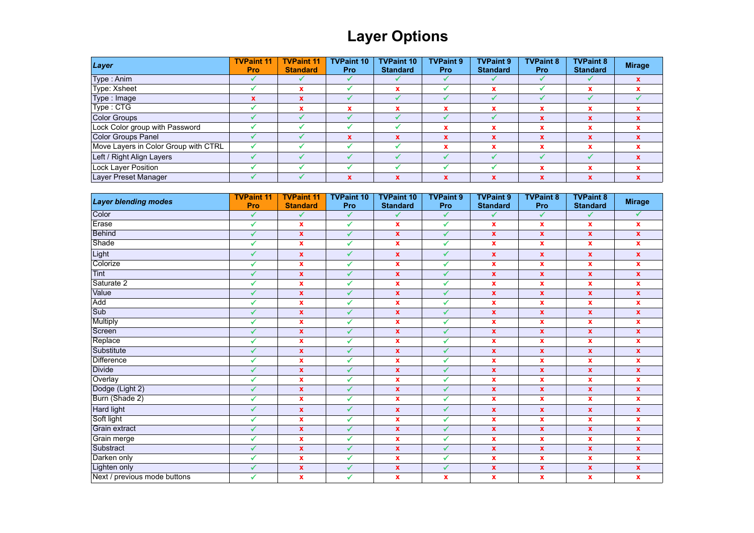# **Layer Options**

| Layer                                | <b>TVPaint 11</b><br><b>Pro</b> | <b>TVPaint 11</b><br><b>Standard</b> | <b>TVPaint 10</b><br><b>Pro</b> | <b>TVPaint 10</b><br><b>Standard</b> | <b>TVPaint 9</b><br><b>Pro</b> | <b>TVPaint 9</b><br><b>Standard</b> | <b>TVPaint 8</b><br><b>Pro</b> | <b>TVPaint 8</b><br><b>Standard</b> | <b>Mirage</b> |
|--------------------------------------|---------------------------------|--------------------------------------|---------------------------------|--------------------------------------|--------------------------------|-------------------------------------|--------------------------------|-------------------------------------|---------------|
| Type: Anim                           |                                 |                                      |                                 |                                      |                                |                                     |                                |                                     |               |
| Type: Xsheet                         |                                 |                                      |                                 |                                      |                                |                                     |                                | x                                   |               |
| Type : Image                         | $\boldsymbol{\mathsf{x}}$       |                                      |                                 |                                      |                                |                                     |                                |                                     |               |
| Type: CTG                            |                                 |                                      |                                 |                                      |                                |                                     |                                | $\mathbf x$                         |               |
| Color Groups                         |                                 |                                      |                                 |                                      |                                |                                     |                                | $\mathbf x$                         |               |
| Lock Color group with Password       |                                 |                                      |                                 |                                      |                                |                                     |                                | x                                   |               |
| Color Groups Panel                   |                                 |                                      | x                               | X                                    |                                |                                     |                                | x                                   |               |
| Move Layers in Color Group with CTRL |                                 |                                      |                                 |                                      |                                |                                     |                                | x                                   |               |
| Left / Right Align Layers            |                                 |                                      |                                 |                                      |                                |                                     |                                |                                     |               |
| Lock Layer Position                  |                                 |                                      |                                 |                                      |                                |                                     |                                | x                                   |               |
| Layer Preset Manager                 |                                 |                                      | x                               | x                                    |                                |                                     |                                | $\mathbf x$                         |               |

| <b>Layer blending modes</b>  | <b>TVPaint 11</b><br>Pro | <b>TVPaint 11</b><br><b>Standard</b> | <b>TVPaint 10</b><br>Pro | <b>TVPaint 10</b><br><b>Standard</b> | <b>TVPaint 9</b><br>Pro | <b>TVPaint 9</b><br><b>Standard</b> | <b>TVPaint 8</b><br>Pro   | <b>TVPaint 8</b><br><b>Standard</b> | <b>Mirage</b>      |
|------------------------------|--------------------------|--------------------------------------|--------------------------|--------------------------------------|-------------------------|-------------------------------------|---------------------------|-------------------------------------|--------------------|
| Color                        | ✔                        | ✔                                    | ✔                        | ✓                                    | $\checkmark$            | ✔                                   | ✓                         | ✔                                   | ✓                  |
| Erase                        | ✓                        | $\boldsymbol{\mathsf{x}}$            | ✓                        | $\mathbf x$                          | $\checkmark$            | x                                   | $\boldsymbol{\mathsf{x}}$ | $\mathbf x$                         | $\mathbf{x}$       |
| <b>Behind</b>                | ✓                        | $\mathbf x$                          | $\checkmark$             | $\mathbf x$                          | $\checkmark$            | $\mathbf{x}$                        | $\mathbf x$               | $\mathbf x$                         | $\mathbf x$        |
| Shade                        | ✓                        | $\boldsymbol{\mathsf{x}}$            | ✓                        | $\pmb{\mathsf{x}}$                   | $\checkmark$            | <b>X</b>                            | $\mathbf{x}$              | $\mathbf x$                         | $\mathbf{x}$       |
| Light                        | ✓                        | $\boldsymbol{\mathsf{x}}$            | $\checkmark$             | $\mathbf{x}$                         | $\checkmark$            | $\mathbf{x}$                        | $\boldsymbol{\mathsf{X}}$ | $\boldsymbol{\mathsf{X}}$           | $\mathbf{x}$       |
| Colorize                     | ✓                        | $\mathbf x$                          | ✔                        | $\mathbf x$                          | $\checkmark$            | $\mathbf{x}$                        | $\mathbf x$               | $\mathbf x$                         | $\mathbf{x}$       |
| Tint                         | ✓                        | $\boldsymbol{\mathsf{x}}$            | $\checkmark$             | $\pmb{\chi}$                         | ✔                       | $\mathbf{x}$                        | $\mathbf{x}$              | $\boldsymbol{\mathsf{X}}$           | $\mathbf{x}$       |
| Saturate 2                   | ✓                        | $\mathbf x$                          | ✓                        | $\mathbf x$                          | $\checkmark$            | $\mathbf{x}$                        | $\boldsymbol{\mathsf{x}}$ | $\pmb{\mathsf{x}}$                  | $\mathbf{x}$       |
| Value                        | ✓                        | $\mathbf x$                          | $\checkmark$             | $\pmb{\mathsf{x}}$                   | $\checkmark$            | $\mathbf x$                         | $\mathbf x$               | $\mathbf x$                         | $\pmb{\mathsf{x}}$ |
| Add                          | ✓                        | $\boldsymbol{\mathsf{x}}$            | ✓                        | $\mathbf{x}$                         | $\checkmark$            | $\mathbf{x}$                        | $\boldsymbol{\mathsf{x}}$ | $\pmb{\mathsf{x}}$                  | $\mathbf{x}$       |
| Sub                          | ✓                        | $\mathbf x$                          |                          | $\pmb{\chi}$                         | $\sqrt{2}$              | $\mathbf{x}$                        | $\mathbf{x}$              | $\boldsymbol{\mathsf{X}}$           | $\pmb{\mathsf{x}}$ |
| <b>Multiply</b>              | ✓                        | $\boldsymbol{\mathsf{x}}$            | ✔                        | $\mathbf{x}$                         | $\checkmark$            | $\mathbf{x}$                        | $\mathbf{x}$              | $\mathbf x$                         | $\mathbf{x}$       |
| Screen                       | ✓                        | $\mathbf x$                          | $\sqrt{2}$               | $\mathbf{x}$                         | $\checkmark$            | $\mathbf{x}$                        | $\mathbf{x}$              | $\boldsymbol{\mathsf{X}}$           | $\mathbf{x}$       |
| Replace                      | ✓                        | $\mathbf x$                          | ✓                        | $\mathbf{x}$                         | ✔                       | $\mathbf{x}$                        | $\mathbf x$               | $\mathbf x$                         | $\mathbf{x}$       |
| Substitute                   | ✔                        | $\mathbf{x}$                         | $\sqrt{2}$               | $\mathbf{x}$                         | $\sqrt{2}$              | $\mathbf{x}$                        | $\mathbf{x}$              | $\mathbf{x}$                        | $\mathbf{x}$       |
| <b>Difference</b>            | ✔                        | $\mathbf x$                          | ✓                        | $\mathbf x$                          | ✔                       | $\mathbf{x}$                        | $\boldsymbol{\mathsf{x}}$ | $\pmb{\mathsf{x}}$                  | $\mathbf{x}$       |
| <b>Divide</b>                | ✓                        | $\boldsymbol{\mathsf{x}}$            | ✓                        | $\mathbf{x}$                         | $\checkmark$            | $\mathbf{x}$                        | $\boldsymbol{\mathsf{X}}$ | $\boldsymbol{\mathsf{x}}$           | $\mathbf{x}$       |
| Overlay                      | ✓                        | $\boldsymbol{\mathsf{x}}$            | ✓                        | $\pmb{\mathsf{x}}$                   | ✔                       | <b>X</b>                            | $\boldsymbol{\mathsf{x}}$ | $\mathbf x$                         | $\mathbf{x}$       |
| Dodge (Light 2)              | ✓                        | $\mathbf x$                          | ✔                        | $\mathbf{x}$                         | $\checkmark$            | $\mathbf{x}$                        | $\mathbf{x}$              | $\mathbf x$                         | $\mathbf{x}$       |
| Burn (Shade 2)               | ✓                        | $\mathbf x$                          | ✓                        | $\pmb{\mathsf{x}}$                   | ✔                       | $\mathbf{x}$                        | $\boldsymbol{\mathsf{x}}$ | $\mathbf x$                         | $\mathbf{x}$       |
| Hard light                   | ✓                        | $\mathbf{x}$                         | $\checkmark$             | $\mathbf x$                          | $\sqrt{}$               | $\mathbf{x}$                        | $\boldsymbol{\mathsf{X}}$ | $\boldsymbol{\mathsf{x}}$           | $\mathbf{x}$       |
| Soft light                   | ✔                        | $\mathbf{x}$                         | ✓                        | $\mathbf x$                          | $\checkmark$            | $\mathbf{x}$                        | $\mathbf x$               | $\mathbf x$                         | $\mathbf x$        |
| Grain extract                | ✓                        | $\boldsymbol{\mathsf{x}}$            | $\checkmark$             | $\pmb{\chi}$                         | $\checkmark$            | $\mathbf{x}$                        | $\boldsymbol{\mathsf{X}}$ | $\boldsymbol{\mathsf{X}}$           | $\mathbf{x}$       |
| Grain merge                  | ✓                        | $\mathbf x$                          | $\checkmark$             | $\mathbf{x}$                         | ✔                       | $\mathbf{x}$                        | $\boldsymbol{\mathsf{x}}$ | $\mathbf x$                         | $\mathbf{x}$       |
| Substract                    | ✓                        | $\mathbf x$                          | $\mathcal{L}$            | $\pmb{\chi}$                         | $\checkmark$            | $\mathbf x$                         | $\pmb{\mathsf{x}}$        | $\pmb{\mathsf{x}}$                  | $\pmb{\mathsf{x}}$ |
| Darken only                  | ✔                        | $\boldsymbol{\mathsf{x}}$            | $\checkmark$             | $\mathbf{x}$                         | $\checkmark$            | x                                   | $\boldsymbol{\mathsf{x}}$ | $\mathbf x$                         | $\mathbf{x}$       |
| Lighten only                 | $\checkmark$             | $\pmb{\mathsf{x}}$                   | $\checkmark$             | $\mathbf x$                          | $\checkmark$            | $\mathbf x$                         | $\pmb{\mathsf{x}}$        | $\pmb{\mathsf{x}}$                  | $\pmb{\mathsf{x}}$ |
| Next / previous mode buttons | ✓                        | $\mathbf{x}$                         | ✔                        | $\mathbf{x}$                         | $\mathbf x$             | $\mathbf{x}$                        | $\mathbf{x}$              | $\mathbf{x}$                        | $\mathbf{x}$       |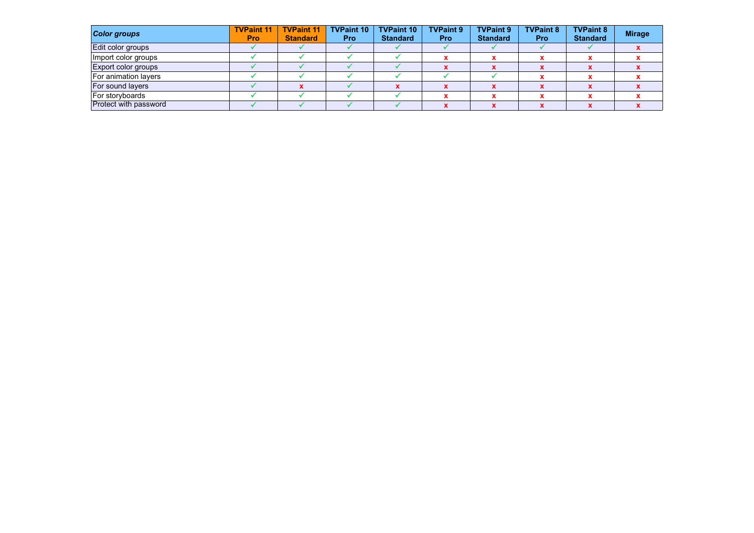| <b>Color groups</b>          | <b>TVPaint 11</b><br><b>Pro</b> | <b>TVPaint 11</b><br><b>Standard</b> | <b>TVPaint 10</b><br><b>Pro</b> | <b>TVPaint 10</b><br><b>Standard</b> | <b>TVPaint 9</b><br><b>Pro</b> | <b>TVPaint 9</b><br><b>Standard</b> | <b>TVPaint 8</b><br><b>Pro</b> | <b>TVPaint 8</b><br><b>Standard</b> | <b>Mirage</b> |
|------------------------------|---------------------------------|--------------------------------------|---------------------------------|--------------------------------------|--------------------------------|-------------------------------------|--------------------------------|-------------------------------------|---------------|
| Edit color groups            |                                 |                                      |                                 |                                      |                                |                                     |                                |                                     |               |
| Import color groups          |                                 |                                      |                                 |                                      |                                |                                     |                                |                                     |               |
| <b>Export color groups</b>   |                                 |                                      |                                 |                                      |                                |                                     |                                |                                     |               |
| For animation layers         |                                 |                                      |                                 |                                      |                                |                                     |                                |                                     |               |
| For sound layers             |                                 |                                      |                                 |                                      |                                |                                     |                                |                                     |               |
| For storyboards              |                                 |                                      |                                 |                                      |                                |                                     |                                |                                     |               |
| <b>Protect with password</b> |                                 |                                      |                                 |                                      |                                |                                     |                                |                                     |               |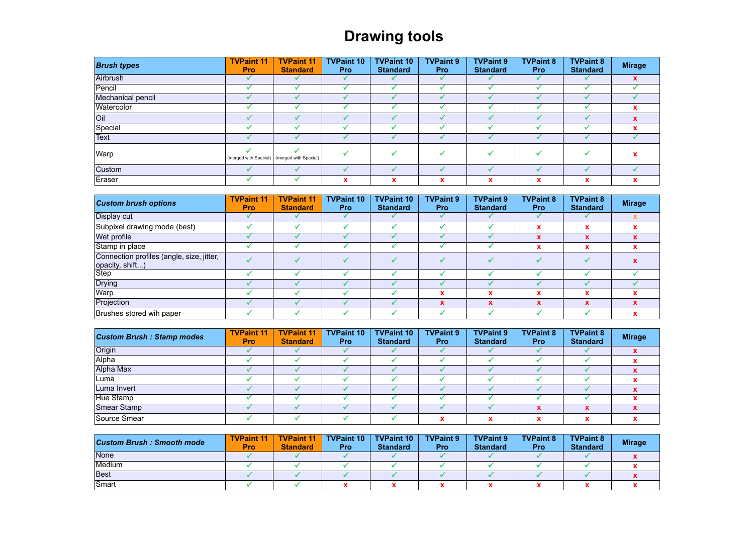# **Drawing tools**

| <b>Brush types</b> | <b>TVPaint 11</b><br><b>Pro</b> | <b>TVPaint 11</b><br><b>Standard</b>          | <b>TVPaint 10</b><br><b>Pro</b> | <b>TVPaint 10</b><br><b>Standard</b> | <b>TVPaint 9</b><br><b>Pro</b> | <b>TVPaint 9</b><br><b>Standard</b> | <b>TVPaint 8</b><br><b>Pro</b> | <b>TVPaint 8</b><br><b>Standard</b> | <b>Mirage</b> |
|--------------------|---------------------------------|-----------------------------------------------|---------------------------------|--------------------------------------|--------------------------------|-------------------------------------|--------------------------------|-------------------------------------|---------------|
| Airbrush           |                                 |                                               |                                 |                                      |                                |                                     |                                |                                     | $\mathbf{x}$  |
| Pencil             |                                 |                                               |                                 |                                      |                                |                                     |                                |                                     |               |
| Mechanical pencil  |                                 |                                               |                                 |                                      |                                |                                     |                                |                                     |               |
| Watercolor         |                                 |                                               |                                 |                                      |                                |                                     |                                |                                     | $\mathbf x$   |
| <b>Oil</b>         |                                 |                                               |                                 |                                      |                                |                                     |                                |                                     |               |
| Special            |                                 |                                               |                                 |                                      |                                |                                     |                                |                                     |               |
| Text               |                                 |                                               |                                 |                                      |                                |                                     |                                |                                     |               |
| Warp               |                                 | (merged with Special)   (merged with Special) |                                 |                                      |                                |                                     |                                |                                     | x             |
| Custom             |                                 |                                               |                                 |                                      |                                |                                     |                                |                                     |               |
| Eraser             |                                 |                                               | x                               | x                                    | x                              | x                                   | $\boldsymbol{\mathsf{A}}$      | x                                   | x             |

| <b>Custom brush options</b>                                  | <b>TVPaint 11</b><br><b>Pro</b> | <b>TVPaint 11</b><br><b>Standard</b> | <b>TVPaint 10</b><br><b>Pro</b> | <b>TVPaint 10</b><br><b>Standard</b> | <b>TVPaint 9</b><br><b>Pro</b> | <b>TVPaint 9</b><br><b>Standard</b> | <b>TVPaint 8</b><br><b>Pro</b> | <b>TVPaint 8</b><br><b>Standard</b> | <b>Mirage</b> |
|--------------------------------------------------------------|---------------------------------|--------------------------------------|---------------------------------|--------------------------------------|--------------------------------|-------------------------------------|--------------------------------|-------------------------------------|---------------|
| Display cut                                                  |                                 |                                      |                                 |                                      |                                |                                     |                                |                                     |               |
| Subpixel drawing mode (best)                                 |                                 |                                      |                                 |                                      |                                |                                     |                                | x                                   |               |
| Wet profile                                                  |                                 |                                      |                                 |                                      |                                |                                     |                                | x                                   | $\mathbf x$   |
| Stamp in place                                               |                                 |                                      |                                 |                                      |                                |                                     | x                              | x                                   |               |
| Connection profiles (angle, size, jitter,<br>opacity, shift) |                                 |                                      |                                 |                                      |                                |                                     |                                |                                     |               |
| Step                                                         |                                 |                                      |                                 |                                      |                                |                                     |                                |                                     |               |
| <b>Drying</b>                                                |                                 |                                      |                                 |                                      |                                |                                     |                                |                                     |               |
| Warp                                                         |                                 |                                      |                                 |                                      |                                | $\mathbf x$                         |                                | x                                   |               |
| Projection                                                   |                                 |                                      |                                 |                                      | X                              | $\mathbf x$                         | $\mathbf x$                    | x                                   |               |
| Brushes stored wih paper                                     |                                 |                                      |                                 |                                      |                                |                                     |                                |                                     |               |

| <b>Custom Brush: Stamp modes</b> | <b>TVPaint 11</b><br><b>Pro</b> | <b>TVPaint 11</b><br><b>Standard</b> | <b>TVPaint 10</b><br><b>Pro</b> | <b>TVPaint 10</b><br><b>Standard</b> | <b>TVPaint 9</b><br><b>Pro</b> | <b>TVPaint 9</b><br><b>Standard</b> | <b>TVPaint 8</b><br><b>Pro</b> | <b>TVPaint 8</b><br><b>Standard</b> | <b>Mirage</b> |
|----------------------------------|---------------------------------|--------------------------------------|---------------------------------|--------------------------------------|--------------------------------|-------------------------------------|--------------------------------|-------------------------------------|---------------|
| Origin                           |                                 |                                      |                                 |                                      |                                |                                     |                                |                                     |               |
| Alpha                            |                                 |                                      |                                 |                                      |                                |                                     |                                |                                     |               |
| Alpha Max                        |                                 |                                      |                                 |                                      |                                |                                     |                                |                                     |               |
| Luma                             |                                 |                                      |                                 |                                      |                                |                                     |                                |                                     |               |
| Luma Invert                      |                                 |                                      |                                 |                                      |                                |                                     |                                |                                     |               |
| Hue Stamp                        |                                 |                                      |                                 |                                      |                                |                                     |                                |                                     |               |
| Smear Stamp                      |                                 |                                      |                                 |                                      |                                |                                     |                                |                                     |               |
| Source Smear                     |                                 |                                      |                                 |                                      |                                |                                     |                                |                                     |               |

| <b>Custom Brush: Smooth mode</b> | <b>TVPaint 11</b><br>Pro | <b>TVPaint 11</b><br><b>Standard</b> | <b>TVPaint 10</b><br>Pro | <b>TVPaint 10</b><br><b>Standard</b> | <b>TVPaint 9</b><br>Pro | <b>TVPaint 9</b><br><b>Standard</b> | <b>TVPaint 8</b><br><b>Pro</b> | <b>TVPaint 8</b><br><b>Standard</b> | <b>Mirage</b> |
|----------------------------------|--------------------------|--------------------------------------|--------------------------|--------------------------------------|-------------------------|-------------------------------------|--------------------------------|-------------------------------------|---------------|
| None                             |                          |                                      |                          |                                      |                         |                                     |                                |                                     |               |
| Medium                           |                          |                                      |                          |                                      |                         |                                     |                                |                                     |               |
| Best                             |                          |                                      |                          |                                      |                         |                                     |                                |                                     |               |
| Smart                            |                          |                                      |                          |                                      |                         |                                     |                                |                                     |               |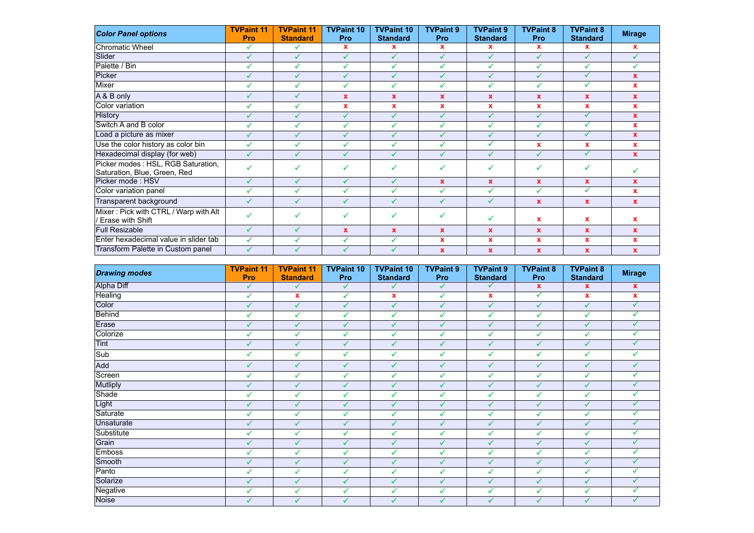| <b>Color Panel options</b>                                         | <b>TVPaint 11</b><br>Pro | <b>TVPaint 11</b><br><b>Standard</b> | <b>TVPaint 10</b><br>Pro | <b>TVPaint 10</b><br><b>Standard</b> | <b>TVPaint 9</b><br>Pro | <b>TVPaint 9</b><br><b>Standard</b> | <b>TVPaint 8</b><br>Pro | <b>TVPaint 8</b><br><b>Standard</b> | <b>Mirage</b> |
|--------------------------------------------------------------------|--------------------------|--------------------------------------|--------------------------|--------------------------------------|-------------------------|-------------------------------------|-------------------------|-------------------------------------|---------------|
| <b>Chromatic Wheel</b>                                             | ✔                        |                                      | $\mathbf x$              | $\mathbf x$                          | $\mathbf x$             | x                                   | $\mathbf{x}$            | x                                   | $\mathbf{x}$  |
| Slider                                                             | ✔                        | ✓                                    | ✔                        | ✔                                    | $\checkmark$            | ✔                                   | $\checkmark$            | ✔                                   | $\checkmark$  |
| Palette / Bin                                                      |                          |                                      | ✔                        | ✔                                    | ✔                       | $\checkmark$                        |                         | ✔                                   | ✔             |
| Picker                                                             |                          |                                      | ✔                        | ✔                                    | ✓                       | ✔                                   | ✓                       | ✓                                   | $\mathbf{x}$  |
| Mixer                                                              | ✔                        | ✔                                    | ✔                        | $\checkmark$                         | ✓                       | ✔                                   | ✔                       | ✓                                   | $\mathbf{x}$  |
| A & B only                                                         |                          |                                      | $\mathbf{x}$             | $\mathbf x$                          | $\mathbf x$             | $\mathbf x$                         | $\mathbf x$             | <b>X</b>                            | $\mathbf{x}$  |
| Color variation                                                    | ✔                        | ✓                                    | x                        | $\boldsymbol{\mathsf{x}}$            | $\mathbf x$             | x                                   | $\mathbf x$             | x                                   | $\mathbf x$   |
| History                                                            |                          | ✔                                    | ✔                        | $\checkmark$                         | $\checkmark$            | ✔                                   | $\epsilon$              | ✓                                   | $\mathbf{x}$  |
| Switch A and B color                                               | $\checkmark$             | $\checkmark$                         | ✔                        | ✔                                    | ✔                       | ✔                                   | $\checkmark$            | ✓                                   | $\mathbf{x}$  |
| Load a picture as mixer                                            | ✔                        | $\checkmark$                         | ✔                        | ✔                                    | ✔                       | ✔                                   | ✔                       | ✓                                   | $\mathbf{x}$  |
| Use the color history as color bin                                 | $\checkmark$             |                                      | ✔                        | $\checkmark$                         | $\checkmark$            | ↵                                   | $\mathbf x$             | x                                   | $\mathbf{x}$  |
| Hexadecimal display (for web)                                      | ✓                        | ✔                                    | ✔                        | ✔                                    | $\checkmark$            | ✔                                   | ✔                       | ✓                                   | $\mathbf{x}$  |
| Picker modes: HSL, RGB Saturation,<br>Saturation, Blue, Green, Red |                          |                                      | ✓                        |                                      | ✔                       | ✔                                   |                         | ✓                                   |               |
| Picker mode: HSV                                                   | ✔                        | ✓                                    | ✔                        | $\checkmark$                         | $\mathbf{x}$            | $\mathbf x$                         | $\mathbf{x}$            | <b>X</b>                            | $\mathbf{x}$  |
| Color variation panel                                              | ✔                        |                                      | ✔                        | ✔                                    | $\mathcal{L}$           | ✔                                   | $\mathcal{L}$           | ✓                                   | $\mathbf{x}$  |
| Transparent background                                             |                          |                                      | ✔                        | ✔                                    | ✔                       | √                                   | $\mathbf{x}$            | $\mathbf{x}$                        | $\mathbf{x}$  |
| Mixer: Pick with CTRL / Warp with Alt<br>Erase with Shift          | ✔                        |                                      | ✔                        | ✔                                    | ✔                       | √                                   | $\mathbf x$             | x                                   | $\mathbf{x}$  |
| <b>Full Resizable</b>                                              | ✔                        | ✓                                    | $\mathbf{x}$             | $\boldsymbol{\mathsf{x}}$            | $\mathbf x$             | $\mathbf{x}$                        | $\mathbf x$             | $\mathbf{x}$                        | $\mathbf{x}$  |
| Enter hexadecimal value in slider tab                              | ✔                        | $\checkmark$                         | ✔                        | ✔                                    | $\mathbf x$             | $\mathbf x$                         | $\mathbf x$             | x                                   | $\mathbf x$   |
| Transform Palette in Custom panel                                  | ✓                        |                                      | ✔                        | ✔                                    | $\mathbf{x}$            | $\mathbf x$                         | $\mathbf{x}$            | $\mathbf x$                         | $\mathbf x$   |

| <b>Drawing modes</b> | <b>TVPaint 11</b><br>Pro | <b>TVPaint 11</b><br><b>Standard</b> | <b>TVPaint 10</b><br>Pro | <b>TVPaint 10</b><br><b>Standard</b> | <b>TVPaint 9</b><br>Pro | <b>TVPaint 9</b><br><b>Standard</b> | <b>TVPaint 8</b><br>Pro | <b>TVPaint 8</b><br><b>Standard</b> | <b>Mirage</b>      |
|----------------------|--------------------------|--------------------------------------|--------------------------|--------------------------------------|-------------------------|-------------------------------------|-------------------------|-------------------------------------|--------------------|
| <b>Alpha Diff</b>    | $\checkmark$             | $\checkmark$                         | $\checkmark$             | ✓                                    | $\checkmark$            | ✔                                   | $\mathbf{x}$            | $\mathbf{x}$                        | $\mathbf{x}$       |
| Healing              | ✔                        | $\pmb{\mathsf{x}}$                   | $\checkmark$             | $\pmb{\chi}$                         | ✓                       | $\mathbf x$                         | ✓                       | X                                   | $\pmb{\mathsf{x}}$ |
| Color                | ✓                        | ✓                                    | ✓                        | ✓                                    | ✓                       | $\checkmark$                        | ✓                       | ✓                                   | ✓                  |
| <b>Behind</b>        | ✔                        | ✓                                    | ✔                        | $\checkmark$                         | ✔                       | $\checkmark$                        | ✔                       | ✓                                   |                    |
| Erase                | ✔                        | ✓                                    | ✔                        | ✓                                    | ✓                       | ✓                                   | ✔                       | ✓                                   | ✓                  |
| Colorize             | ✔                        | ✓                                    | ✔                        | ✔                                    | ✔                       | $\checkmark$                        | ✔                       | ✓                                   |                    |
| <b>Tint</b>          | ✔                        | ✓                                    | ✔                        | $\checkmark$                         | ✔                       | ✔                                   | ✔                       | ✓                                   | ✔                  |
| Sub                  | ✓                        | $\checkmark$                         | $\checkmark$             | $\checkmark$                         | ✔                       | ✔                                   | $\checkmark$            | ✔                                   |                    |
| Add                  | ✔                        | ✔                                    | ✔                        | $\sqrt{2}$                           | ✔                       | ✔                                   | ✔                       | ✔                                   |                    |
| Screen               | ✔                        | $\checkmark$                         | ✔                        | ✔                                    | ✔                       | ✔                                   |                         | ✓                                   |                    |
| <b>Mutliply</b>      | ✔                        | ✔                                    | ✔                        | $\checkmark$                         | ✔                       | ✓                                   |                         | $\checkmark$                        |                    |
| Shade                | $\checkmark$             | ✔                                    | ✔                        | $\checkmark$                         | ✔                       | $\checkmark$                        |                         | ✔                                   |                    |
| Light                | ✔                        | ✔                                    | ✔                        | $\checkmark$                         | ✔                       | ✓                                   |                         | $\checkmark$                        |                    |
| Saturate             | ✓                        | ✔                                    | ✔                        | ✔                                    | ✔                       | $\checkmark$                        |                         | $\checkmark$                        |                    |
| Unsaturate           | $\sqrt{2}$               |                                      | $\checkmark$             | ✔                                    | ✔                       | ✔                                   |                         | $\checkmark$                        |                    |
| Substitute           | ✔                        | ✔                                    | ✔                        | $\checkmark$                         | ✔                       | ✔                                   |                         | ✓                                   |                    |
| Grain                | ✔                        | ✓                                    | ✔                        | ✔                                    | ✔                       | ✔                                   |                         | ✓                                   |                    |
| <b>Emboss</b>        | ✔                        | ✓                                    | ✔                        | $\checkmark$                         | ✔                       | ✔                                   |                         | ✓                                   |                    |
| Smooth               | ✔                        | ✓                                    | ✔                        | $\sqrt{}$                            | ✓                       | ✔                                   |                         | ✓                                   |                    |
| Panto                | ✔                        | ✓                                    | $\checkmark$             | ✓                                    | ✔                       | ✓                                   | ✔                       | ✓                                   |                    |
| Solarize             | ✔                        | ✓                                    | ✔                        | ✓                                    | ✔                       | ✔                                   | ✔                       | $\checkmark$                        |                    |
| Negative             | ✓                        | ✓                                    | ✔                        | $\checkmark$                         | ✓                       | ✔                                   | ✓                       | ✓                                   |                    |
| Noise                | ✔                        | ✓                                    | ✔                        | ✓                                    | ✔                       | ✔                                   | J                       | ✓                                   |                    |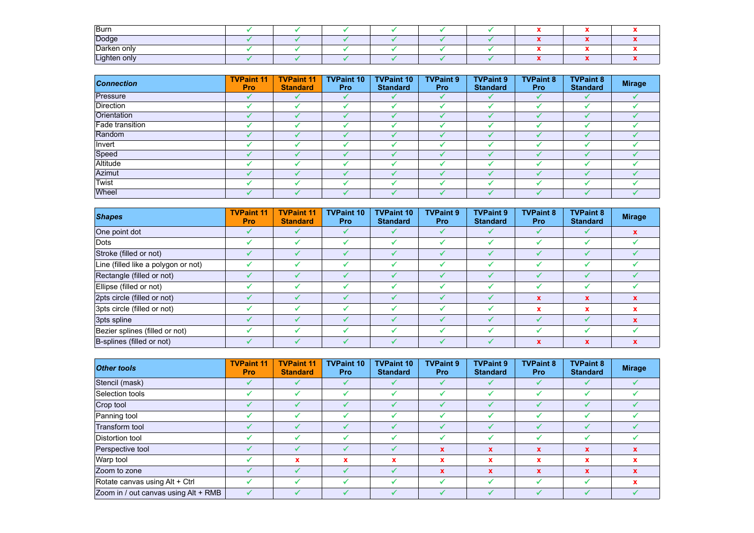| Burn         |  |  |  |  |  |
|--------------|--|--|--|--|--|
| Dodge        |  |  |  |  |  |
| Darken only  |  |  |  |  |  |
| Lighten only |  |  |  |  |  |

| <b>Connection</b> | <b>TVPaint 11</b><br><b>Pro</b> | <b>TVPaint 11</b><br><b>Standard</b> | <b>TVPaint 10</b><br><b>Pro</b> | <b>TVPaint 10</b><br><b>Standard</b> | <b>TVPaint 9</b><br><b>Pro</b> | <b>TVPaint 9</b><br><b>Standard</b> | <b>TVPaint 8</b><br><b>Pro</b> | <b>TVPaint 8</b><br><b>Standard</b> | <b>Mirage</b> |
|-------------------|---------------------------------|--------------------------------------|---------------------------------|--------------------------------------|--------------------------------|-------------------------------------|--------------------------------|-------------------------------------|---------------|
| Pressure          |                                 |                                      |                                 |                                      |                                |                                     |                                |                                     |               |
| Direction         |                                 |                                      |                                 |                                      |                                |                                     |                                |                                     |               |
| Orientation       |                                 |                                      |                                 |                                      |                                |                                     |                                |                                     |               |
| Fade transition   |                                 |                                      |                                 |                                      |                                |                                     |                                |                                     |               |
| Random            |                                 |                                      |                                 |                                      |                                |                                     |                                |                                     |               |
| Invert            |                                 |                                      |                                 |                                      |                                |                                     |                                |                                     |               |
| Speed             |                                 |                                      |                                 |                                      |                                |                                     |                                |                                     |               |
| Altitude          |                                 |                                      |                                 |                                      |                                |                                     |                                |                                     |               |
| Azimut            |                                 |                                      |                                 |                                      |                                |                                     |                                |                                     |               |
| Twist             |                                 |                                      |                                 |                                      |                                |                                     |                                |                                     |               |
| Wheel             |                                 |                                      |                                 |                                      |                                |                                     |                                |                                     |               |

| <b>Shapes</b>                       | <b>TVPaint 11</b><br><b>Pro</b> | <b>TVPaint 11</b><br><b>Standard</b> | <b>TVPaint 10</b><br><b>Pro</b> | <b>TVPaint 10</b><br><b>Standard</b> | <b>TVPaint 9</b><br><b>Pro</b> | <b>TVPaint 9</b><br><b>Standard</b> | <b>TVPaint 8</b><br><b>Pro</b> | <b>TVPaint 8</b><br><b>Standard</b> | <b>Mirage</b> |
|-------------------------------------|---------------------------------|--------------------------------------|---------------------------------|--------------------------------------|--------------------------------|-------------------------------------|--------------------------------|-------------------------------------|---------------|
| One point dot                       |                                 |                                      |                                 |                                      |                                |                                     |                                |                                     | $\mathbf{x}$  |
| Dots                                |                                 |                                      | J                               |                                      |                                |                                     |                                | J                                   |               |
| Stroke (filled or not)              |                                 |                                      |                                 |                                      |                                |                                     |                                |                                     |               |
| Line (filled like a polygon or not) |                                 |                                      |                                 |                                      |                                |                                     |                                |                                     |               |
| Rectangle (filled or not)           |                                 |                                      |                                 |                                      |                                |                                     |                                |                                     |               |
| Ellipse (filled or not)             |                                 |                                      |                                 |                                      |                                |                                     |                                |                                     |               |
| 2pts circle (filled or not)         |                                 |                                      |                                 |                                      |                                |                                     | x                              | $\mathbf x$                         | $\mathbf{x}$  |
| 3pts circle (filled or not)         |                                 |                                      |                                 |                                      |                                |                                     | x                              | x                                   | $\mathbf x$   |
| 3pts spline                         |                                 |                                      |                                 |                                      |                                |                                     |                                |                                     |               |
| Bezier splines (filled or not)      |                                 |                                      |                                 |                                      |                                |                                     |                                |                                     |               |
| B-splines (filled or not)           |                                 |                                      |                                 |                                      |                                |                                     |                                | $\mathbf x$                         | $\mathbf x$   |

| <b>Other tools</b>                   | <b>TVPaint 11</b><br>Pro | <b>TVPaint 11</b><br><b>Standard</b> | <b>TVPaint 10</b><br><b>Pro</b> | <b>TVPaint 10</b><br><b>Standard</b> | <b>TVPaint 9</b><br><b>Pro</b> | <b>TVPaint 9</b><br><b>Standard</b> | <b>TVPaint 8</b><br><b>Pro</b> | <b>TVPaint 8</b><br><b>Standard</b> | <b>Mirage</b> |
|--------------------------------------|--------------------------|--------------------------------------|---------------------------------|--------------------------------------|--------------------------------|-------------------------------------|--------------------------------|-------------------------------------|---------------|
| Stencil (mask)                       |                          |                                      |                                 |                                      |                                |                                     |                                |                                     |               |
| Selection tools                      |                          |                                      |                                 |                                      |                                |                                     |                                |                                     |               |
| Crop tool                            |                          |                                      |                                 |                                      |                                |                                     |                                |                                     |               |
| Panning tool                         |                          |                                      |                                 |                                      |                                |                                     |                                | J                                   |               |
| Transform tool                       |                          |                                      |                                 |                                      |                                |                                     |                                |                                     |               |
| Distortion tool                      |                          |                                      |                                 |                                      |                                |                                     |                                |                                     |               |
| Perspective tool                     |                          |                                      |                                 |                                      | X                              | X                                   |                                | X                                   |               |
| Warp tool                            |                          | x                                    | $\mathbf x$                     | x                                    | $\mathbf x$                    | x                                   |                                | x                                   |               |
| Zoom to zone                         |                          |                                      |                                 |                                      | $\mathbf x$                    | X                                   | x                              | $\mathbf x$                         | $\mathbf{x}$  |
| Rotate canvas using Alt + Ctrl       |                          |                                      |                                 |                                      |                                |                                     |                                | ✔                                   | x             |
| Zoom in / out canvas using Alt + RMB | ✔                        |                                      |                                 |                                      |                                |                                     |                                |                                     |               |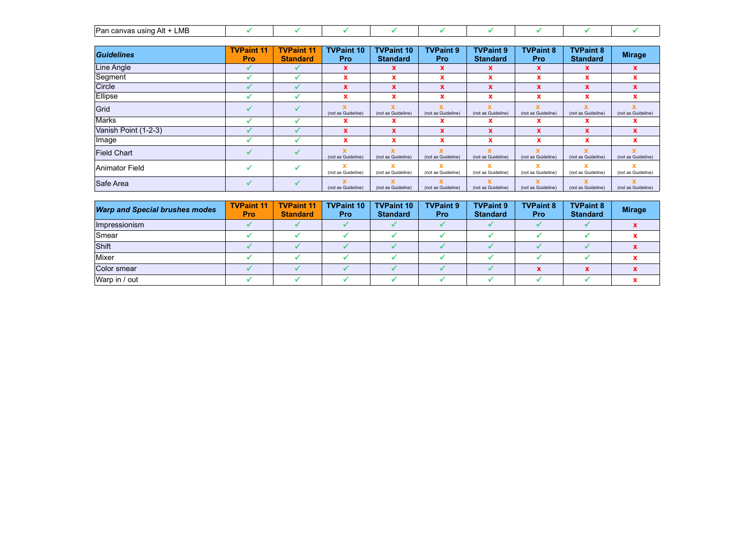| ∟MB<br>Alt<br>∴ יייווּפּט canvas u |  |  |  |  |  |
|------------------------------------|--|--|--|--|--|

| Guidelines           | <b>TVPaint 11</b><br><b>Pro</b> | <b>TVPaint 11</b><br><b>Standard</b> | <b>TVPaint 10</b><br><b>Pro</b>    | <b>TVPaint 10</b><br><b>Standard</b> | <b>TVPaint 9</b><br><b>Pro</b> | <b>TVPaint 9</b><br><b>Standard</b> | <b>TVPaint 8</b><br><b>Pro</b> | <b>TVPaint 8</b><br><b>Standard</b> | <b>Mirage</b>           |
|----------------------|---------------------------------|--------------------------------------|------------------------------------|--------------------------------------|--------------------------------|-------------------------------------|--------------------------------|-------------------------------------|-------------------------|
| Line Angle           |                                 |                                      | X                                  | x                                    | X                              | x                                   | x                              | x                                   | $\mathbf x$             |
| Segment              |                                 |                                      | x                                  | x                                    | x                              | x                                   | x                              | x                                   | $\mathbf x$             |
| Circle               |                                 |                                      | $\mathbf x$                        | X                                    | X                              | x                                   | X                              | X                                   | $\mathbf x$             |
| Ellipse              |                                 |                                      | x                                  | x                                    | x                              | x                                   | $\mathbf{x}$                   | x                                   | x                       |
| Grid                 |                                 |                                      | x<br>(not as Guideline)            | (not as Guideline)                   | (not as Guideline)             | x<br>(not as Guideline)             | (not as Guideline)             | X<br>(not as Guideline)             | (not as Guideline)      |
| Marks                |                                 |                                      | x                                  | x                                    | x                              | x                                   | x                              | x                                   | x                       |
| Vanish Point (1-2-3) |                                 |                                      | $\mathbf{x}$                       | $\mathbf x$                          | $\mathbf{x}$                   | $\boldsymbol{\mathsf{x}}$           | X                              | $\mathbf x$                         | $\mathbf x$             |
| ⊺lmage               |                                 |                                      | $\mathbf x$                        | x                                    | x                              | x                                   | x                              | x                                   | $\mathbf x$             |
| <b>Field Chart</b>   |                                 |                                      | $\mathbf{x}$<br>(not as Guideline) | (not as Guideline)                   | (not as Guideline)             | $\mathbf x$<br>(not as Guideline)   | (not as Guideline)             | $\mathbf x$<br>(not as Guideline)   | x<br>(not as Guideline) |
| Animator Field       |                                 |                                      | (not as Guideline)                 | (not as Guideline)                   | (not as Guideline)             | x<br>(not as Guideline)             | (not as Guideline)             | x<br>(not as Guideline)             | (not as Guideline)      |
| Safe Area            |                                 |                                      | (not as Guideline)                 | (not as Guideline)                   | (not as Guideline)             | x<br>(not as Guideline)             | (not as Guideline)             | x<br>(not as Guideline)             | (not as Guideline)      |

| <b>Warp and Special brushes modes</b> | <b>TVPaint 11</b><br><b>Pro</b> | <b>TVPaint 11</b><br><b>Standard</b> | <b>TVPaint 10</b><br><b>Pro</b> | <b>TVPaint 10</b><br><b>Standard</b> | <b>TVPaint 9</b><br><b>Pro</b> | <b>TVPaint 9</b><br><b>Standard</b> | <b>TVPaint 8</b><br><b>Pro</b> | <b>TVPaint 8</b><br><b>Standard</b> | <b>Mirage</b> |
|---------------------------------------|---------------------------------|--------------------------------------|---------------------------------|--------------------------------------|--------------------------------|-------------------------------------|--------------------------------|-------------------------------------|---------------|
| Impressionism                         |                                 |                                      |                                 |                                      |                                |                                     |                                |                                     |               |
| <b>Smear</b>                          |                                 |                                      |                                 |                                      |                                |                                     |                                |                                     |               |
| Shift                                 |                                 |                                      |                                 |                                      |                                |                                     |                                |                                     |               |
| Mixer                                 |                                 |                                      |                                 |                                      |                                |                                     |                                |                                     |               |
| Color smear                           |                                 |                                      |                                 |                                      |                                |                                     |                                |                                     |               |
| Warp in / out                         |                                 |                                      |                                 |                                      |                                |                                     |                                |                                     |               |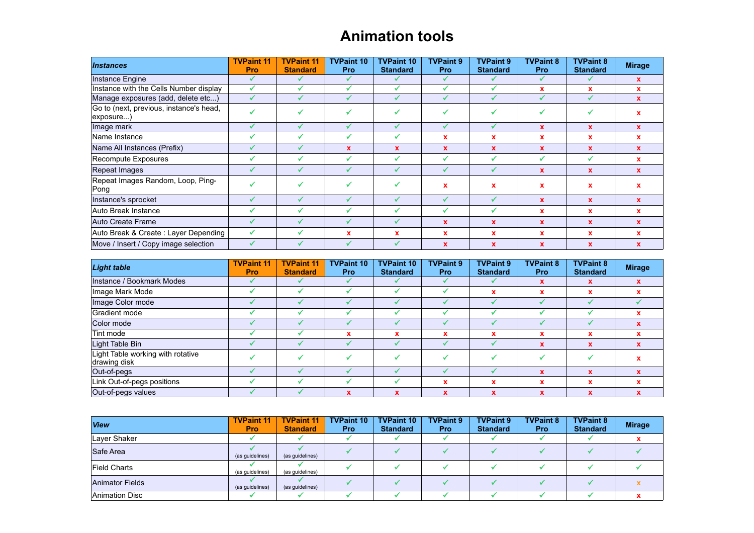#### **Animation tools**

| <b>Instances</b>                                     | <b>TVPaint 11</b><br><b>Pro</b> | <b>TVPaint 11</b><br><b>Standard</b> | <b>TVPaint 10</b><br><b>Pro</b> | <b>TVPaint 10</b><br><b>Standard</b> | <b>TVPaint 9</b><br><b>Pro</b> | <b>TVPaint 9</b><br><b>Standard</b> | <b>TVPaint 8</b><br><b>Pro</b> | <b>TVPaint 8</b><br><b>Standard</b> | <b>Mirage</b> |
|------------------------------------------------------|---------------------------------|--------------------------------------|---------------------------------|--------------------------------------|--------------------------------|-------------------------------------|--------------------------------|-------------------------------------|---------------|
| Instance Engine                                      |                                 |                                      |                                 |                                      | ✓                              |                                     |                                |                                     | $\mathbf{x}$  |
| Instance with the Cells Number display               |                                 |                                      | ✔                               |                                      | ✓                              |                                     | x                              | x                                   | x             |
| Manage exposures (add, delete etc)                   |                                 |                                      |                                 |                                      |                                |                                     |                                |                                     | $\mathbf x$   |
| Go to (next, previous, instance's head,<br>exposure) |                                 |                                      |                                 |                                      |                                |                                     |                                |                                     |               |
| Image mark                                           |                                 |                                      |                                 |                                      | ✔                              |                                     | $\mathbf{x}$                   | $\mathbf{x}$                        | x             |
| Name Instance                                        |                                 |                                      |                                 |                                      | x                              | $\mathbf x$                         | x                              | x                                   | x             |
| Name All Instances (Prefix)                          |                                 |                                      | $\mathbf x$                     | x                                    | $\mathbf x$                    | $\mathbf x$                         | $\mathbf x$                    | X                                   |               |
| Recompute Exposures                                  |                                 |                                      |                                 |                                      | V                              |                                     |                                |                                     | $\mathbf x$   |
| Repeat Images                                        |                                 |                                      | ✔                               |                                      | ✔                              |                                     | x                              | X                                   | X             |
| Repeat Images Random, Loop, Ping-<br>Pong            |                                 |                                      |                                 |                                      | x                              | $\mathbf x$                         | x                              | x                                   |               |
| Instance's sprocket                                  |                                 |                                      |                                 |                                      | ✔                              |                                     | $\mathbf x$                    | X                                   | X             |
| Auto Break Instance                                  |                                 |                                      |                                 |                                      | √                              |                                     | x                              | x                                   | $\mathbf x$   |
| Auto Create Frame                                    |                                 |                                      | ✔                               |                                      | $\mathbf{x}$                   | $\mathbf x$                         | $\mathbf x$                    | $\mathbf{x}$                        | $\mathbf x$   |
| Auto Break & Create: Layer Depending                 |                                 |                                      | $\mathbf x$                     |                                      | x                              | x                                   | x                              | x                                   | x             |
| Move / Insert / Copy image selection                 |                                 |                                      |                                 |                                      | $\mathbf x$                    | $\mathbf x$                         | $\mathbf x$                    | X                                   |               |

| <b>Light table</b>                                | <b>TVPaint 11</b><br><b>Pro</b> | <b>TVPaint 11</b><br><b>Standard</b> | <b>TVPaint 10</b><br><b>Pro</b> | <b>TVPaint 10</b><br><b>Standard</b> | <b>TVPaint 9</b><br><b>Pro</b> | <b>TVPaint 9</b><br><b>Standard</b> | <b>TVPaint 8</b><br><b>Pro</b> | <b>TVPaint 8</b><br><b>Standard</b> | <b>Mirage</b> |
|---------------------------------------------------|---------------------------------|--------------------------------------|---------------------------------|--------------------------------------|--------------------------------|-------------------------------------|--------------------------------|-------------------------------------|---------------|
| Instance / Bookmark Modes                         |                                 |                                      |                                 |                                      | ✔                              |                                     |                                | <b>x</b>                            |               |
| Image Mark Mode                                   |                                 |                                      |                                 |                                      |                                | x                                   |                                | x                                   |               |
| Image Color mode                                  |                                 |                                      |                                 |                                      |                                |                                     |                                |                                     |               |
| Gradient mode                                     |                                 |                                      |                                 |                                      |                                |                                     |                                |                                     |               |
| Color mode                                        |                                 |                                      |                                 |                                      |                                |                                     |                                |                                     |               |
| Tint mode                                         |                                 |                                      | $\mathbf x$                     | v<br>ж                               | x                              | $\mathbf x$                         |                                | x                                   |               |
| Light Table Bin                                   |                                 |                                      |                                 |                                      |                                |                                     |                                | X                                   |               |
| Light Table working with rotative<br>drawing disk |                                 |                                      |                                 |                                      | √                              |                                     |                                |                                     |               |
| Out-of-pegs                                       |                                 |                                      |                                 |                                      |                                |                                     | x                              | $\mathbf x$                         |               |
| Link Out-of-pegs positions                        |                                 |                                      |                                 |                                      | x                              | $\mathbf x$                         |                                | x                                   |               |
| Out-of-pegs values                                |                                 |                                      | X                               |                                      | $\mathbf x$                    | $\mathbf x$                         |                                | X                                   |               |

| <b>View</b>            | <b>TVPaint 11</b><br><b>Pro</b> | <b>TVPaint 11</b><br><b>Standard</b> | <b>TVPaint 10</b><br><b>Pro</b> | <b>TVPaint 10</b><br><b>Standard</b> | <b>TVPaint 9</b><br><b>Pro</b> | <b>TVPaint 9</b><br><b>Standard</b> | <b>TVPaint 8</b><br><b>Pro</b> | <b>TVPaint 8</b><br><b>Standard</b> | <b>Mirage</b> |
|------------------------|---------------------------------|--------------------------------------|---------------------------------|--------------------------------------|--------------------------------|-------------------------------------|--------------------------------|-------------------------------------|---------------|
| Laver Shaker           |                                 |                                      |                                 |                                      |                                |                                     |                                |                                     |               |
| Safe Area              | (as quidelines)                 | (as quidelines)                      |                                 |                                      |                                |                                     |                                |                                     |               |
| <b>Field Charts</b>    | (as quidelines)                 | (as quidelines)                      |                                 |                                      |                                |                                     |                                |                                     |               |
| <b>Animator Fields</b> | (as quidelines)                 | (as quidelines)                      |                                 |                                      |                                |                                     |                                |                                     |               |
| <b>Animation Disc</b>  |                                 |                                      |                                 |                                      |                                |                                     |                                |                                     |               |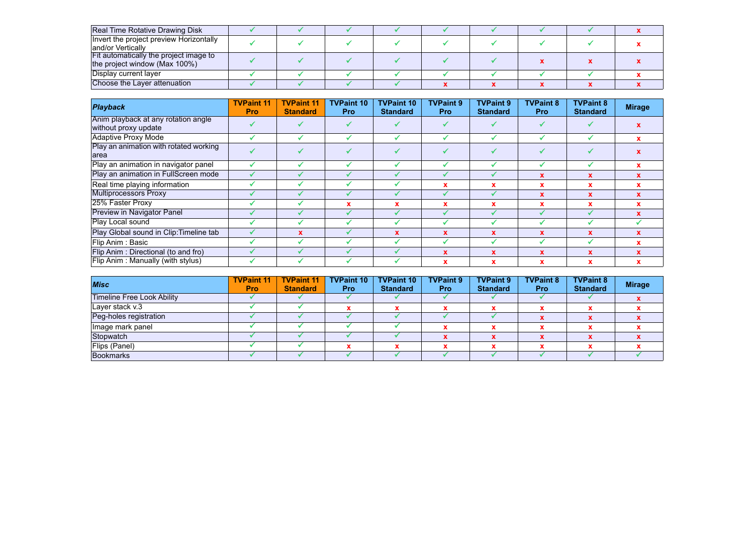| Real Time Rotative Drawing Disk         |  |  |  |  |  |
|-----------------------------------------|--|--|--|--|--|
| Invert the project preview Horizontally |  |  |  |  |  |
| and/or Vertically                       |  |  |  |  |  |
| Fit automatically the project image to  |  |  |  |  |  |
| the project window (Max 100%)           |  |  |  |  |  |
| Display current layer                   |  |  |  |  |  |
| Choose the Layer attenuation            |  |  |  |  |  |

| <b>Playback</b>                         | <b>TVPaint 11</b><br><b>Pro</b> | <b>TVPaint 11</b><br><b>Standard</b> | <b>TVPaint 10</b><br><b>Pro</b> | <b>TVPaint 10</b><br><b>Standard</b> | <b>TVPaint 9</b><br><b>Pro</b> | <b>TVPaint 9</b><br><b>Standard</b> | <b>TVPaint 8</b><br>Pro | <b>TVPaint 8</b><br><b>Standard</b> | <b>Mirage</b> |
|-----------------------------------------|---------------------------------|--------------------------------------|---------------------------------|--------------------------------------|--------------------------------|-------------------------------------|-------------------------|-------------------------------------|---------------|
| Anim playback at any rotation angle     |                                 |                                      |                                 |                                      |                                |                                     |                         |                                     |               |
| without proxy update                    |                                 |                                      |                                 |                                      |                                |                                     |                         |                                     |               |
| <b>Adaptive Proxy Mode</b>              |                                 |                                      |                                 |                                      |                                |                                     |                         |                                     | $\mathbf x$   |
| Play an animation with rotated working  |                                 |                                      |                                 |                                      |                                |                                     |                         |                                     |               |
| area                                    |                                 |                                      |                                 |                                      |                                |                                     |                         |                                     |               |
| Play an animation in navigator panel    |                                 |                                      |                                 |                                      |                                |                                     |                         |                                     | x             |
| Play an animation in FullScreen mode    |                                 |                                      |                                 |                                      |                                |                                     |                         |                                     |               |
| Real time playing information           |                                 |                                      |                                 |                                      |                                |                                     |                         |                                     |               |
| <b>Multiprocessors Proxy</b>            |                                 |                                      |                                 |                                      |                                |                                     |                         | $\mathbf{x}$                        |               |
| 25% Faster Proxy                        |                                 |                                      |                                 |                                      | x                              |                                     |                         |                                     |               |
| <b>Preview in Navigator Panel</b>       |                                 |                                      |                                 |                                      |                                |                                     |                         |                                     |               |
| Play Local sound                        |                                 |                                      |                                 |                                      |                                |                                     |                         |                                     |               |
| Play Global sound in Clip: Timeline tab |                                 | x                                    |                                 |                                      | $\mathbf{x}$                   | $\mathbf x$                         |                         | X                                   |               |
| Flip Anim: Basic                        |                                 |                                      |                                 |                                      |                                |                                     |                         |                                     |               |
| Flip Anim: Directional (to and fro)     |                                 |                                      |                                 |                                      | X                              | X                                   |                         |                                     |               |
| Flip Anim: Manually (with stylus)       |                                 |                                      |                                 |                                      | x                              |                                     |                         |                                     |               |

| <b>Misc</b>                | <b>TVPaint 11</b><br><b>Pro</b> | <b>TVPaint 11</b><br><b>Standard</b> | <b>TVPaint 10</b><br><b>Pro</b> | <b>TVPaint 10</b><br><b>Standard</b> | <b>TVPaint 9</b><br><b>Pro</b> | <b>TVPaint 9</b><br><b>Standard</b> | <b>TVPaint 8</b><br><b>Pro</b> | <b>TVPaint 8</b><br><b>Standard</b> | <b>Mirage</b> |
|----------------------------|---------------------------------|--------------------------------------|---------------------------------|--------------------------------------|--------------------------------|-------------------------------------|--------------------------------|-------------------------------------|---------------|
| Timeline Free Look Ability |                                 |                                      |                                 |                                      |                                |                                     |                                |                                     |               |
| Layer stack v.3            |                                 |                                      |                                 |                                      |                                |                                     |                                |                                     |               |
| Peg-holes registration     |                                 |                                      |                                 |                                      |                                |                                     |                                |                                     |               |
| Image mark panel           |                                 |                                      |                                 |                                      |                                |                                     |                                |                                     |               |
| Stopwatch                  |                                 |                                      |                                 |                                      |                                |                                     |                                |                                     |               |
| Flips (Panel)              |                                 |                                      |                                 |                                      |                                |                                     |                                |                                     |               |
| <b>Bookmarks</b>           |                                 |                                      |                                 |                                      |                                |                                     |                                |                                     |               |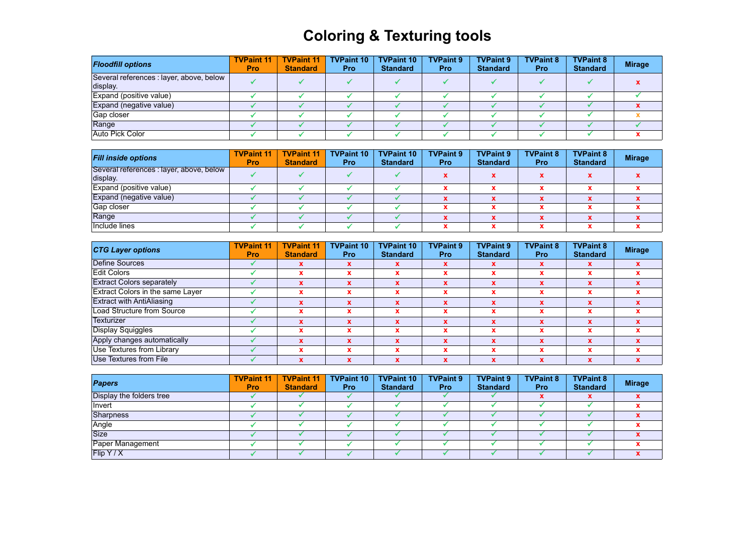# **Coloring & Texturing tools**

| <b>Floodfill options</b>                             | <b>TVPaint 11</b><br><b>Pro</b> | <b>TVPaint 11</b><br><b>Standard</b> | <b>TVPaint 10</b><br><b>Pro</b> | <b>TVPaint 10</b><br><b>Standard</b> | <b>TVPaint 9</b><br><b>Pro</b> | <b>TVPaint 9</b><br><b>Standard</b> | <b>TVPaint 8</b><br><b>Pro</b> | <b>TVPaint 8</b><br><b>Standard</b> | <b>Mirage</b> |
|------------------------------------------------------|---------------------------------|--------------------------------------|---------------------------------|--------------------------------------|--------------------------------|-------------------------------------|--------------------------------|-------------------------------------|---------------|
| Several references : layer, above, below<br>display. |                                 |                                      |                                 |                                      |                                |                                     |                                |                                     |               |
| Expand (positive value)                              |                                 |                                      |                                 |                                      |                                |                                     |                                |                                     |               |
| Expand (negative value)                              |                                 |                                      |                                 |                                      |                                |                                     |                                |                                     |               |
| Gap closer                                           |                                 |                                      |                                 |                                      |                                |                                     |                                |                                     |               |
| Range                                                |                                 |                                      |                                 |                                      |                                |                                     |                                |                                     |               |
| Auto Pick Color                                      |                                 |                                      |                                 |                                      |                                |                                     |                                |                                     |               |

| <b>Fill inside options</b>                           | <b>TVPaint 11</b><br><b>Pro</b> | <b>TVPaint 11</b><br><b>Standard</b> | <b>TVPaint 10</b><br><b>Pro</b> | <b>TVPaint 10</b><br><b>Standard</b> | <b>TVPaint 9</b><br><b>Pro</b> | <b>TVPaint 9</b><br><b>Standard</b> | <b>TVPaint 8</b><br><b>Pro</b> | <b>TVPaint 8</b><br><b>Standard</b> | <b>Mirage</b> |
|------------------------------------------------------|---------------------------------|--------------------------------------|---------------------------------|--------------------------------------|--------------------------------|-------------------------------------|--------------------------------|-------------------------------------|---------------|
| Several references : layer, above, below<br>display. |                                 |                                      |                                 |                                      |                                |                                     |                                |                                     |               |
| Expand (positive value)                              |                                 |                                      |                                 |                                      |                                |                                     |                                |                                     |               |
| Expand (negative value)                              |                                 |                                      |                                 |                                      |                                |                                     |                                |                                     |               |
| Gap closer                                           |                                 |                                      |                                 |                                      |                                |                                     |                                |                                     |               |
| Range                                                |                                 |                                      |                                 |                                      |                                |                                     |                                |                                     |               |
| Include lines                                        |                                 |                                      |                                 |                                      |                                |                                     |                                |                                     |               |

| <b>CTG Layer options</b>         | <b>TVPaint 11</b><br><b>Pro</b> | <b>TVPaint 11</b><br><b>Standard</b> | <b>TVPaint 10</b><br>Pro | <b>TVPaint 10</b><br><b>Standard</b> | <b>TVPaint 9</b><br><b>Pro</b> | <b>TVPaint 9</b><br><b>Standard</b> | <b>TVPaint 8</b><br><b>Pro</b> | <b>TVPaint 8</b><br><b>Standard</b> | <b>Mirage</b> |
|----------------------------------|---------------------------------|--------------------------------------|--------------------------|--------------------------------------|--------------------------------|-------------------------------------|--------------------------------|-------------------------------------|---------------|
| Define Sources                   |                                 |                                      | x                        |                                      | x                              |                                     |                                | x                                   |               |
| <b>Edit Colors</b>               |                                 | X                                    |                          | x                                    | $\mathbf x$                    |                                     |                                | x                                   |               |
| <b>Extract Colors separately</b> |                                 | $\mathbf x$                          |                          | x                                    | $\mathbf x$                    |                                     |                                | $\mathbf x$                         |               |
| Extract Colors in the same Layer |                                 |                                      |                          |                                      | x                              |                                     |                                | x                                   |               |
| <b>Extract with AntiAliasing</b> |                                 | ¥                                    |                          | $\mathbf x$                          | $\mathbf x$                    |                                     |                                | $\mathbf{x}$                        |               |
| Load Structure from Source       |                                 |                                      |                          |                                      | $\overline{\phantom{a}}$       |                                     |                                |                                     |               |
| Texturizer                       |                                 |                                      |                          |                                      |                                |                                     |                                |                                     |               |
| Display Squiggles                |                                 |                                      |                          | x                                    | x                              |                                     |                                |                                     |               |
| Apply changes automatically      |                                 | x                                    |                          |                                      | $\mathbf x$                    |                                     |                                | x                                   |               |
| Use Textures from Library        |                                 |                                      |                          | w<br>^                               | x                              |                                     |                                | x                                   |               |
| Use Textures from File           |                                 |                                      |                          |                                      |                                |                                     |                                |                                     |               |

| <b>Papers</b>            | <b>TVPaint 11</b><br><b>Pro</b> | <b>TVPaint 11</b><br><b>Standard</b> | <b>TVPaint 10</b><br><b>Pro</b> | <b>TVPaint 10</b><br><b>Standard</b> | <b>TVPaint 9</b><br><b>Pro</b> | <b>TVPaint 9</b><br><b>Standard</b> | <b>TVPaint 8</b><br><b>Pro</b> | <b>TVPaint 8</b><br><b>Standard</b> | <b>Mirage</b> |
|--------------------------|---------------------------------|--------------------------------------|---------------------------------|--------------------------------------|--------------------------------|-------------------------------------|--------------------------------|-------------------------------------|---------------|
| Display the folders tree |                                 |                                      |                                 |                                      |                                |                                     |                                |                                     |               |
| Invert                   |                                 |                                      |                                 |                                      |                                |                                     |                                |                                     |               |
| Sharpness                |                                 |                                      |                                 |                                      |                                |                                     |                                |                                     |               |
| Angle                    |                                 |                                      |                                 |                                      |                                |                                     |                                |                                     |               |
| <b>Size</b>              |                                 |                                      |                                 |                                      |                                |                                     |                                |                                     |               |
| Paper Management         |                                 |                                      |                                 |                                      |                                |                                     |                                |                                     |               |
| $\vert$ Flip Y / X       |                                 |                                      |                                 |                                      |                                |                                     |                                |                                     |               |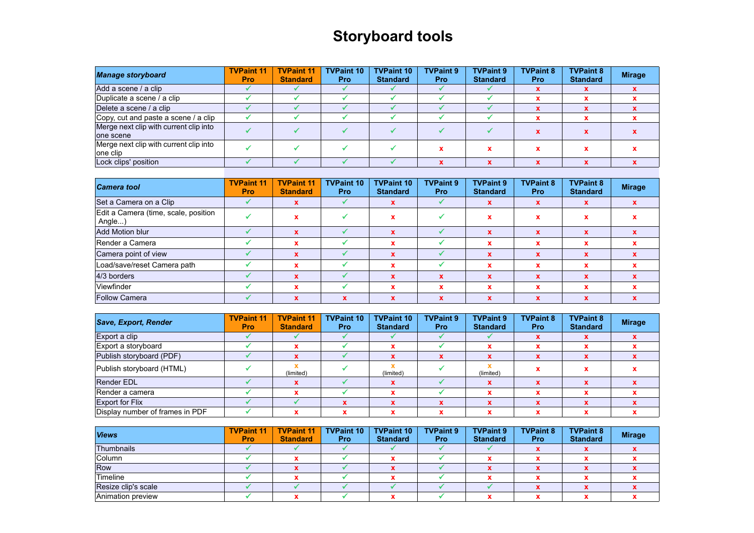# **Storyboard tools**

| <b>Manage storyboard</b>                            | <b>TVPaint 11</b><br><b>Pro</b> | <b>TVPaint 11</b><br><b>Standard</b> | <b>TVPaint 10</b><br>Pro: | <b>TVPaint 10</b><br><b>Standard</b> | <b>TVPaint 9</b><br><b>Pro</b> | <b>TVPaint 9</b><br><b>Standard</b> | <b>TVPaint 8</b><br><b>Pro</b> | <b>TVPaint 8</b><br><b>Standard</b> | <b>Mirage</b> |
|-----------------------------------------------------|---------------------------------|--------------------------------------|---------------------------|--------------------------------------|--------------------------------|-------------------------------------|--------------------------------|-------------------------------------|---------------|
| Add a scene / a clip                                |                                 |                                      |                           |                                      |                                |                                     |                                |                                     |               |
| Duplicate a scene / a clip                          |                                 |                                      |                           |                                      |                                |                                     |                                |                                     |               |
| Delete a scene / a clip                             |                                 |                                      |                           |                                      |                                |                                     |                                |                                     |               |
| Copy, cut and paste a scene / a clip                |                                 |                                      |                           |                                      |                                |                                     |                                |                                     |               |
| Merge next clip with current clip into<br>one scene |                                 |                                      |                           |                                      |                                |                                     |                                |                                     |               |
| Merge next clip with current clip into<br>one clip  |                                 |                                      |                           |                                      |                                |                                     |                                |                                     |               |
| Lock clips' position                                |                                 |                                      |                           |                                      |                                |                                     |                                |                                     |               |

| <b>Camera tool</b>                             | <b>TVPaint 11</b><br><b>Pro</b> | <b>TVPaint 11</b><br><b>Standard</b> | <b>TVPaint 10</b><br><b>Pro</b> | <b>TVPaint 10</b><br><b>Standard</b> | <b>TVPaint 9</b><br>Pro | <b>TVPaint 9</b><br><b>Standard</b> | <b>TVPaint 8</b><br><b>Pro</b> | <b>TVPaint 8</b><br><b>Standard</b> | <b>Mirage</b> |
|------------------------------------------------|---------------------------------|--------------------------------------|---------------------------------|--------------------------------------|-------------------------|-------------------------------------|--------------------------------|-------------------------------------|---------------|
| Set a Camera on a Clip                         |                                 | $\mathbf x$                          |                                 |                                      |                         | X                                   | x                              | X                                   |               |
| Edit a Camera (time, scale, position<br>Angle) |                                 |                                      |                                 | X                                    |                         | x                                   |                                | x                                   |               |
| Add Motion blur                                |                                 |                                      |                                 |                                      |                         | $\mathbf{x}$                        | x                              | x                                   |               |
| Render a Camera                                |                                 |                                      |                                 | x                                    |                         | x                                   |                                |                                     |               |
| Camera point of view                           |                                 | $\mathbf x$                          |                                 | $\mathbf x$                          |                         | $\mathbf x$                         | X                              | $\mathbf x$                         |               |
| Load/save/reset Camera path                    |                                 | x                                    |                                 | $\mathbf{v}$                         |                         | x                                   |                                |                                     |               |
| 4/3 borders                                    |                                 |                                      |                                 |                                      |                         | $\mathbf x$                         |                                | X                                   |               |
| Viewfinder                                     |                                 |                                      |                                 |                                      |                         | x                                   |                                |                                     |               |
| <b>Follow Camera</b>                           |                                 | $\mathbf x$                          | $\mathbf{x}$                    | X                                    | x                       | X                                   | X                              | $\mathbf x$                         |               |

| Save, Export, Render            | <b>TVPaint 11</b><br><b>Pro</b> | <b>TVPaint 11</b><br><b>Standard</b> | <b>TVPaint 10</b><br><b>Pro</b> | <b>TVPaint 10</b><br><b>Standard</b> | <b>TVPaint 9</b><br><b>Pro</b> | <b>TVPaint 9</b><br><b>Standard</b> | <b>TVPaint 8</b><br><b>Pro</b> | <b>TVPaint 8</b><br><b>Standard</b> | <b>Mirage</b> |
|---------------------------------|---------------------------------|--------------------------------------|---------------------------------|--------------------------------------|--------------------------------|-------------------------------------|--------------------------------|-------------------------------------|---------------|
| Export a clip                   |                                 |                                      |                                 |                                      |                                |                                     |                                |                                     |               |
| Export a storyboard             |                                 |                                      |                                 |                                      |                                |                                     |                                |                                     |               |
| Publish storyboard (PDF)        |                                 |                                      |                                 |                                      |                                |                                     |                                |                                     |               |
| Publish storyboard (HTML)       |                                 | (limited)                            |                                 | (limited)                            |                                | (limited)                           |                                |                                     |               |
| <b>Render EDL</b>               |                                 |                                      |                                 |                                      |                                |                                     |                                |                                     |               |
| Render a camera                 |                                 |                                      |                                 |                                      |                                |                                     |                                |                                     |               |
| <b>Export for Flix</b>          |                                 |                                      |                                 |                                      |                                |                                     |                                |                                     |               |
| Display number of frames in PDF |                                 |                                      |                                 |                                      |                                |                                     |                                |                                     |               |

| <b>Views</b>        | <b>TVPaint 11</b><br><b>Pro</b> | <b>TVPaint 11</b><br><b>Standard</b> | <b>TVPaint 10</b><br>Pro | <b>TVPaint 10</b><br><b>Standard</b> | <b>TVPaint 9</b><br>Pro | <b>TVPaint 9</b><br><b>Standard</b> | <b>TVPaint 8</b><br><b>Pro</b> | <b>TVPaint 8</b><br><b>Standard</b> | <b>Mirage</b> |
|---------------------|---------------------------------|--------------------------------------|--------------------------|--------------------------------------|-------------------------|-------------------------------------|--------------------------------|-------------------------------------|---------------|
| Thumbnails          |                                 |                                      |                          |                                      |                         |                                     |                                |                                     |               |
| Column              |                                 |                                      |                          |                                      |                         |                                     |                                |                                     |               |
| <b>Row</b>          |                                 |                                      |                          |                                      |                         |                                     |                                |                                     |               |
| Timeline            |                                 |                                      |                          |                                      |                         |                                     |                                |                                     |               |
| Resize clip's scale |                                 |                                      |                          |                                      |                         |                                     |                                |                                     |               |
| Animation preview   |                                 |                                      |                          |                                      |                         |                                     |                                |                                     |               |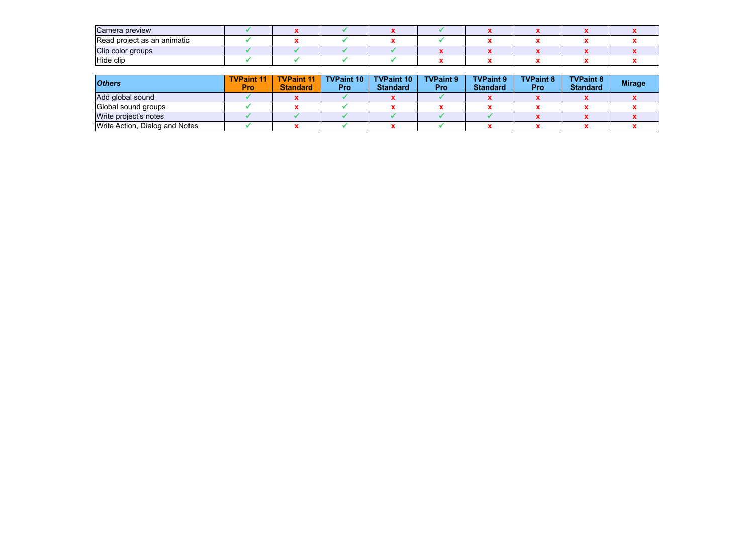| Camera preview              |  |  |  |  |  |
|-----------------------------|--|--|--|--|--|
| Read project as an animatic |  |  |  |  |  |
| Clip color groups           |  |  |  |  |  |
| Hide clip                   |  |  |  |  |  |

| <b>Others</b>                  | <b>TVPaint 11</b><br>Pro | <b>TVPaint 11</b><br><b>Standard</b> | <b>TVPaint 10</b><br><b>Pro</b> | <b>TVPaint 10</b><br><b>Standard</b> | <b>TVPaint 9</b><br><b>Pro</b> | <b>TVPaint 9</b><br><b>Standard</b> | <b>TVPaint 8</b><br><b>Pro</b> | <b>TVPaint 8</b><br><b>Standard</b> | <b>Mirage</b> |
|--------------------------------|--------------------------|--------------------------------------|---------------------------------|--------------------------------------|--------------------------------|-------------------------------------|--------------------------------|-------------------------------------|---------------|
| Add global sound               |                          |                                      |                                 |                                      |                                |                                     |                                |                                     |               |
| Global sound groups            |                          |                                      |                                 |                                      |                                |                                     |                                |                                     |               |
| Write project's notes          |                          |                                      |                                 |                                      |                                |                                     |                                |                                     |               |
| Write Action, Dialog and Notes |                          |                                      |                                 |                                      |                                |                                     |                                |                                     |               |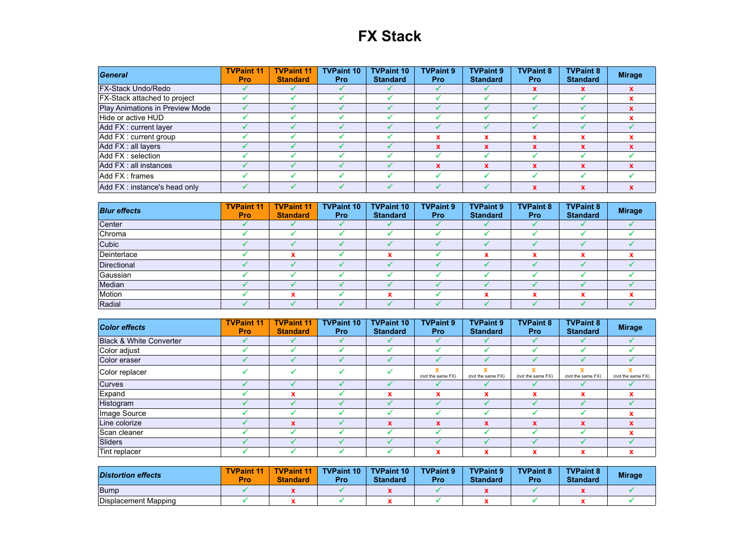## **FX Stack**

| General                             | <b>TVPaint 11</b><br><b>Pro</b> | <b>TVPaint 11</b><br><b>Standard</b> | <b>TVPaint 10</b><br><b>Pro</b> | <b>TVPaint 10</b><br><b>Standard</b> | <b>TVPaint 9</b><br><b>Pro</b> | <b>TVPaint 9</b><br><b>Standard</b> | <b>TVPaint 8</b><br><b>Pro</b> | <b>TVPaint 8</b><br><b>Standard</b> | <b>Mirage</b> |
|-------------------------------------|---------------------------------|--------------------------------------|---------------------------------|--------------------------------------|--------------------------------|-------------------------------------|--------------------------------|-------------------------------------|---------------|
| <b>FX-Stack Undo/Redo</b>           |                                 |                                      |                                 |                                      |                                |                                     |                                |                                     |               |
| <b>FX-Stack attached to project</b> |                                 |                                      |                                 |                                      |                                |                                     |                                |                                     |               |
| Play Animations in Preview Mode     |                                 |                                      |                                 |                                      |                                |                                     |                                |                                     |               |
| Hide or active HUD                  |                                 |                                      |                                 |                                      |                                |                                     |                                |                                     |               |
| Add FX : current layer              |                                 |                                      |                                 |                                      |                                |                                     |                                |                                     |               |
| Add FX : current group              |                                 |                                      |                                 |                                      |                                |                                     |                                |                                     |               |
| Add FX : all layers                 |                                 |                                      |                                 |                                      |                                | x                                   |                                |                                     |               |
| Add FX : selection                  |                                 |                                      |                                 |                                      |                                |                                     |                                |                                     |               |
| Add FX : all instances              |                                 |                                      |                                 |                                      |                                | x                                   |                                |                                     |               |
| Add FX : frames                     |                                 |                                      |                                 |                                      |                                |                                     |                                |                                     |               |
| Add FX : instance's head only       |                                 |                                      |                                 |                                      |                                |                                     | $\boldsymbol{\lambda}$         |                                     |               |

| <b>Blur effects</b> | <b>TVPaint 11</b><br><b>Pro</b> | <b>TVPaint 11</b><br><b>Standard</b> | <b>TVPaint 10</b><br><b>Pro</b> | <b>TVPaint 10</b><br><b>Standard</b> | <b>TVPaint 9</b><br><b>Pro</b> | <b>TVPaint 9</b><br><b>Standard</b> | <b>TVPaint 8</b><br><b>Pro</b> | <b>TVPaint 8</b><br><b>Standard</b> | <b>Mirage</b> |
|---------------------|---------------------------------|--------------------------------------|---------------------------------|--------------------------------------|--------------------------------|-------------------------------------|--------------------------------|-------------------------------------|---------------|
| Center              |                                 |                                      |                                 |                                      |                                |                                     |                                |                                     |               |
| Chroma              |                                 |                                      |                                 |                                      |                                |                                     |                                |                                     |               |
| Cubic               |                                 |                                      |                                 |                                      |                                |                                     |                                |                                     |               |
| Deinterlace         |                                 |                                      |                                 |                                      |                                | v                                   | $\overline{\phantom{a}}$       |                                     |               |
| Directional         |                                 |                                      |                                 |                                      |                                |                                     |                                |                                     |               |
| Gaussian            |                                 |                                      |                                 |                                      |                                |                                     |                                |                                     |               |
| Median              |                                 |                                      |                                 |                                      |                                |                                     |                                |                                     |               |
| Motion              |                                 |                                      |                                 |                                      |                                |                                     |                                |                                     |               |
| Radial              |                                 |                                      |                                 |                                      |                                |                                     |                                |                                     |               |

| <b>Color effects</b>               | <b>TVPaint 11</b><br><b>Pro</b> | <b>TVPaint 11</b><br><b>Standard</b> | <b>TVPaint 10</b><br><b>Pro</b> | <b>TVPaint 10</b><br><b>Standard</b> | <b>TVPaint 9</b><br><b>Pro</b> | <b>TVPaint 9</b><br><b>Standard</b> | <b>TVPaint 8</b><br><b>Pro</b> | <b>TVPaint 8</b><br><b>Standard</b> | <b>Mirage</b>          |
|------------------------------------|---------------------------------|--------------------------------------|---------------------------------|--------------------------------------|--------------------------------|-------------------------------------|--------------------------------|-------------------------------------|------------------------|
| <b>Black &amp; White Converter</b> |                                 |                                      |                                 |                                      |                                |                                     |                                |                                     |                        |
| Color adjust                       |                                 |                                      |                                 |                                      |                                |                                     |                                |                                     |                        |
| Color eraser                       |                                 |                                      |                                 |                                      |                                |                                     |                                |                                     |                        |
| Color replacer                     |                                 | ┙                                    | w                               |                                      | (not the same FX)              | (not the same FX)                   | (not the same FX)              | (not the same FX)                   | x<br>(not the same FX) |
| <b>Curves</b>                      |                                 |                                      |                                 |                                      |                                |                                     |                                |                                     |                        |
| Expand                             |                                 | x                                    |                                 |                                      | x                              | x                                   |                                |                                     |                        |
| Histogram                          |                                 |                                      |                                 |                                      |                                |                                     |                                |                                     |                        |
| Image Source                       |                                 |                                      |                                 |                                      |                                |                                     |                                |                                     |                        |
| Line colorize                      |                                 | $\mathbf x$                          |                                 | X                                    | $\mathbf x$                    | $\mathbf x$                         | $\mathbf x$                    | X                                   |                        |
| Scan cleaner                       |                                 |                                      |                                 |                                      |                                |                                     |                                |                                     |                        |
| Sliders                            |                                 |                                      |                                 |                                      |                                |                                     |                                |                                     |                        |
| Tint replacer                      |                                 |                                      |                                 |                                      | x                              | x                                   | x                              | ×                                   | x                      |

| <b>Distortion effects</b> | <b>TVPaint 11</b><br>Pro | <b>TVPaint 11</b><br><b>Standard</b> | <b>TVPaint 10</b><br>Pro | <b>TVPaint 10</b><br><b>Standard</b> | <b>TVPaint 9</b><br>Pro | <b>TVPaint 9</b><br><b>Standard</b> | <b>TVPaint 8</b><br>Pro | <b>TVPaint 8</b><br><b>Standard</b> | <b>Mirage</b> |
|---------------------------|--------------------------|--------------------------------------|--------------------------|--------------------------------------|-------------------------|-------------------------------------|-------------------------|-------------------------------------|---------------|
| Bump                      |                          |                                      |                          |                                      |                         |                                     |                         |                                     |               |
| Displacement Mapping      |                          |                                      |                          |                                      |                         |                                     |                         |                                     |               |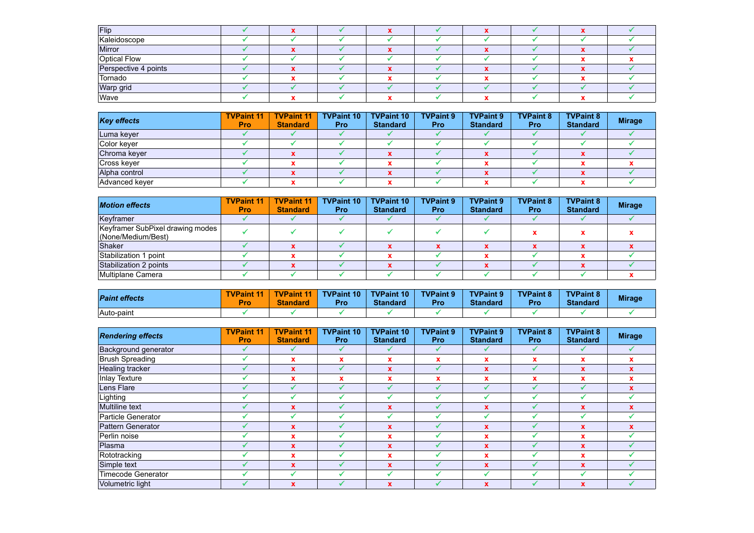| Flip                                 |  |  |  |  |  |
|--------------------------------------|--|--|--|--|--|
| Kaleidoscope                         |  |  |  |  |  |
| Mirror                               |  |  |  |  |  |
| Optical Flow<br>Perspective 4 points |  |  |  |  |  |
|                                      |  |  |  |  |  |
| Tornado                              |  |  |  |  |  |
| Warp grid                            |  |  |  |  |  |
|                                      |  |  |  |  |  |

| <b>Key effects</b> | <b>TVPaint 11</b><br><b>Pro</b> | <b>TVPaint 11</b><br><b>Standard</b> | <b>TVPaint 10</b><br><b>Pro</b> | <b>TVPaint 10</b><br><b>Standard</b> | <b>TVPaint 9</b><br><b>Pro</b> | <b>TVPaint 9</b><br><b>Standard</b> | <b>TVPaint 8</b><br><b>Pro</b> | <b>TVPaint 8</b><br><b>Standard</b> | <b>Mirage</b> |
|--------------------|---------------------------------|--------------------------------------|---------------------------------|--------------------------------------|--------------------------------|-------------------------------------|--------------------------------|-------------------------------------|---------------|
| Luma keyer         |                                 |                                      |                                 |                                      |                                |                                     |                                |                                     |               |
| Color keyer        |                                 |                                      |                                 |                                      |                                |                                     |                                |                                     |               |
| Chroma keyer       |                                 |                                      |                                 |                                      |                                |                                     |                                |                                     |               |
| Cross kever        |                                 |                                      |                                 |                                      |                                |                                     |                                |                                     |               |
| Alpha control      |                                 | ́                                    |                                 |                                      |                                |                                     |                                |                                     |               |
| Advanced keyer     |                                 |                                      |                                 |                                      |                                |                                     |                                |                                     |               |

| <b>Motion effects</b>                                  | <b>TVPaint 11</b><br><b>Pro</b> | <b>TVPaint 11</b><br><b>Standard</b> | <b>TVPaint 10</b><br><b>Pro</b> | <b>TVPaint 10</b><br><b>Standard</b> | <b>TVPaint 9</b><br><b>Pro</b> | <b>TVPaint 9</b><br><b>Standard</b> | <b>TVPaint 8</b><br><b>Pro</b> | <b>TVPaint 8</b><br><b>Standard</b> | <b>Mirage</b> |
|--------------------------------------------------------|---------------------------------|--------------------------------------|---------------------------------|--------------------------------------|--------------------------------|-------------------------------------|--------------------------------|-------------------------------------|---------------|
| Keyframer                                              |                                 |                                      |                                 |                                      |                                |                                     |                                |                                     |               |
| Keyframer SubPixel drawing modes<br>(None/Medium/Best) |                                 |                                      |                                 |                                      |                                |                                     |                                |                                     |               |
| Shaker                                                 |                                 |                                      |                                 |                                      |                                |                                     |                                |                                     |               |
| Stabilization 1 point                                  |                                 |                                      |                                 |                                      |                                |                                     |                                |                                     |               |
| Stabilization 2 points                                 |                                 |                                      |                                 |                                      |                                |                                     |                                |                                     |               |
| Multiplane Camera                                      |                                 |                                      |                                 |                                      |                                |                                     |                                |                                     |               |

| <b>Paint effects</b> | <b>TVPaint</b><br>$\mathbf{11}$<br><b>Pro</b> | <b>TVPaint 11</b><br><b>Standard</b> | <b>TVPaint 10</b><br>Pro | <b>TVPaint 10</b><br><b>Standard</b> | <b>TVPaint 9</b><br>Pro | <b>TVPaint 9</b><br><b>Standard</b> | <b>TVPaint 8</b><br>Pro | <b>TVPaint 8</b><br><b>Standard</b> | <b>Mirage</b> |
|----------------------|-----------------------------------------------|--------------------------------------|--------------------------|--------------------------------------|-------------------------|-------------------------------------|-------------------------|-------------------------------------|---------------|
| Auto-paint           |                                               |                                      |                          |                                      |                         |                                     |                         |                                     |               |

| <b>Rendering effects</b>  | <b>TVPaint 11</b><br>Pro | <b>TVPaint 11</b><br><b>Standard</b> | <b>TVPaint 10</b><br><b>Pro</b> | <b>TVPaint 10</b><br><b>Standard</b> | <b>TVPaint 9</b><br>Pro | <b>TVPaint 9</b><br><b>Standard</b> | <b>TVPaint 8</b><br><b>Pro</b> | <b>TVPaint 8</b><br><b>Standard</b> | <b>Mirage</b> |
|---------------------------|--------------------------|--------------------------------------|---------------------------------|--------------------------------------|-------------------------|-------------------------------------|--------------------------------|-------------------------------------|---------------|
| Background generator      |                          |                                      | ✔                               |                                      | ✔                       |                                     |                                |                                     |               |
| Brush Spreading           |                          | x                                    | $\mathbf x$                     | x                                    | x                       | x                                   | X                              | x                                   | x             |
| Healing tracker           |                          | $\mathbf{x}$                         |                                 | $\mathbf x$                          |                         | x                                   |                                | $\mathbf x$                         | $\mathbf{x}$  |
| Inlay Texture             |                          | $\mathbf x$                          | $\mathbf x$                     | x                                    | x                       | x                                   | X                              |                                     | x             |
| Lens Flare                |                          |                                      |                                 |                                      |                         |                                     |                                |                                     | x             |
| Lighting                  |                          |                                      |                                 |                                      |                         |                                     |                                |                                     |               |
| <b>Multiline text</b>     |                          | $\mathbf x$                          |                                 | $\mathbf x$                          |                         | x                                   |                                | X                                   | x             |
| Particle Generator        |                          |                                      |                                 |                                      |                         |                                     |                                |                                     |               |
| Pattern Generator         |                          | $\mathbf x$                          |                                 | $\mathbf{x}$                         |                         | x                                   |                                | X                                   | $\mathbf x$   |
| Perlin noise              |                          | x                                    |                                 | x                                    |                         | x                                   |                                |                                     |               |
| Plasma                    |                          | $\mathbf{x}$                         |                                 | $\mathbf{x}$                         |                         | $\mathbf x$                         |                                | x                                   |               |
| Rototracking              |                          | $\mathbf x$                          |                                 | x                                    |                         | x                                   |                                |                                     |               |
| Simple text               |                          | $\mathbf x$                          |                                 | $\mathbf x$                          |                         | X                                   |                                | X                                   |               |
| <b>Timecode Generator</b> |                          |                                      |                                 |                                      |                         |                                     |                                |                                     |               |
| <b>Volumetric light</b>   |                          | X                                    |                                 | 74.4                                 |                         | X                                   |                                |                                     |               |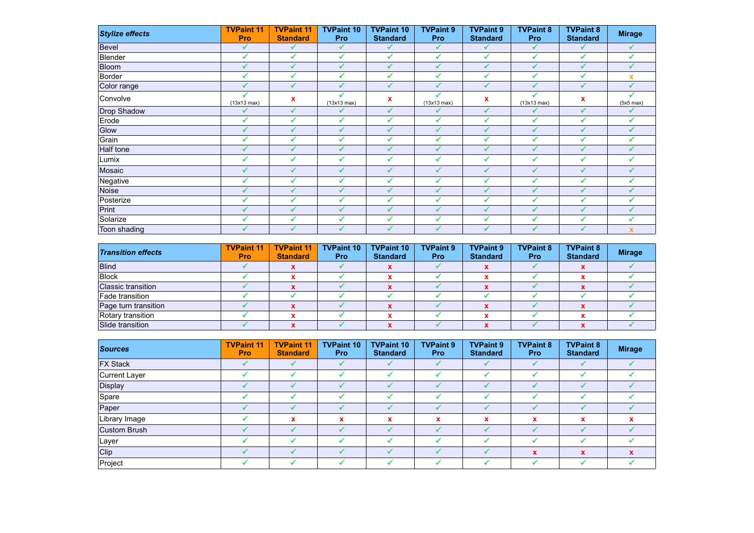| <b>Stylize effects</b> | <b>TVPaint 11</b><br>Pro | <b>TVPaint 11</b><br><b>Standard</b> | <b>TVPaint 10</b><br><b>Pro</b> | <b>TVPaint 10</b><br><b>Standard</b> | <b>TVPaint 9</b><br>Pro | <b>TVPaint 9</b><br><b>Standard</b> | <b>TVPaint 8</b><br>Pro | <b>TVPaint 8</b><br><b>Standard</b> | <b>Mirage</b>             |
|------------------------|--------------------------|--------------------------------------|---------------------------------|--------------------------------------|-------------------------|-------------------------------------|-------------------------|-------------------------------------|---------------------------|
| <b>Bevel</b>           | $\checkmark$             | $\checkmark$                         | ✔                               | ✓                                    | ✔                       | ✔                                   | ✔                       | ✔                                   | ✓                         |
| Blender                | $\checkmark$             | $\checkmark$                         | ✔                               | $\checkmark$                         | $\checkmark$            | $\checkmark$                        |                         | ✓                                   |                           |
| Bloom                  |                          | $\checkmark$                         |                                 |                                      |                         | ✔                                   |                         |                                     |                           |
| Border                 |                          | ✓                                    | ✔                               | ✔                                    | $\checkmark$            | ✓                                   |                         | ✓                                   | $\boldsymbol{\mathsf{x}}$ |
| Color range            | $\checkmark$             | $\checkmark$                         | ✓                               | ✔                                    | $\checkmark$            | ✔                                   | √                       | ✔                                   | $\checkmark$              |
| Convolve               | (13x13 max)              | x                                    | (13x13 max)                     | x                                    | (13x13 max)             | $\boldsymbol{\mathsf{x}}$           | (13x13 max)             | $\mathbf x$                         | $(5x5 \text{ max})$       |
| Drop Shadow            |                          | ✔                                    |                                 | ✔                                    |                         | ✔                                   |                         | $\checkmark$                        |                           |
| Erode                  | $\checkmark$             | $\checkmark$                         | ✔                               | $\checkmark$                         | $\checkmark$            | $\checkmark$                        | $\checkmark$            | $\checkmark$                        |                           |
| Glow                   | $\checkmark$             | $\checkmark$                         | ✔                               |                                      | $\checkmark$            | ✔                                   |                         |                                     |                           |
| Grain                  |                          | $\checkmark$                         |                                 |                                      | $\checkmark$            | $\checkmark$                        |                         |                                     |                           |
| Half tone              |                          | ✓                                    | ✔                               |                                      | ✓                       | $\checkmark$                        |                         |                                     |                           |
| Lumix                  | $\checkmark$             | $\checkmark$                         | ✔                               | ✔                                    | ✔                       | $\checkmark$                        | $\checkmark$            | ✔                                   |                           |
| Mosaic                 | $\checkmark$             | ✓                                    | ✔                               | ✔                                    | ✔                       | ✔                                   | ✔                       | ✔                                   |                           |
| Negative               | $\checkmark$             | $\checkmark$                         | ✔                               | $\checkmark$                         | $\checkmark$            | $\checkmark$                        | $\checkmark$            | ✔                                   |                           |
| Noise                  | $\checkmark$             | $\checkmark$                         | ✔                               |                                      | $\checkmark$            | $\checkmark$                        |                         |                                     |                           |
| Posterize              |                          | $\checkmark$                         | $\checkmark$                    | $\checkmark$                         | $\checkmark$            | $\checkmark$                        |                         | $\checkmark$                        |                           |
| Print                  |                          | $\checkmark$                         | ✔                               | $\checkmark$                         | ✔                       | ✔                                   |                         |                                     |                           |
| Solarize               |                          | ✔                                    |                                 |                                      | $\checkmark$            | ✔                                   |                         |                                     |                           |
| Toon shading           |                          |                                      |                                 |                                      |                         |                                     |                         |                                     | $\mathbf x$               |

| <b>Transition effects</b> | <b>TVPaint 11</b><br>Pro | <b>TVPaint 11</b><br><b>Standard</b> | <b>TVPaint 10</b><br><b>Pro</b> | <b>TVPaint 10</b><br><b>Standard</b> | <b>TVPaint 9</b><br><b>Pro</b> | <b>TVPaint 9</b><br><b>Standard</b> | <b>TVPaint 8</b><br><b>Pro</b> | <b>TVPaint 8</b><br><b>Standard</b> | <b>Mirage</b> |
|---------------------------|--------------------------|--------------------------------------|---------------------------------|--------------------------------------|--------------------------------|-------------------------------------|--------------------------------|-------------------------------------|---------------|
| Blind                     |                          |                                      |                                 |                                      |                                |                                     |                                |                                     |               |
| Block                     |                          |                                      |                                 |                                      |                                |                                     |                                |                                     |               |
| Classic transition        |                          |                                      |                                 |                                      |                                |                                     |                                |                                     |               |
| Fade transition           |                          |                                      |                                 |                                      |                                |                                     |                                |                                     |               |
| Page turn transition      |                          |                                      |                                 |                                      |                                |                                     |                                |                                     |               |
| Rotary transition         |                          |                                      |                                 |                                      |                                |                                     |                                |                                     |               |
| Slide transition          |                          |                                      |                                 |                                      |                                |                                     |                                |                                     |               |

| <b>Sources</b>  | <b>TVPaint 11</b><br><b>Pro</b> | <b>TVPaint 11</b><br><b>Standard</b> | <b>TVPaint 10</b><br><b>Pro</b> | <b>TVPaint 10</b><br><b>Standard</b> | <b>TVPaint 9</b><br><b>Pro</b> | <b>TVPaint 9</b><br><b>Standard</b> | <b>TVPaint 8</b><br><b>Pro</b> | <b>TVPaint 8</b><br><b>Standard</b> | <b>Mirage</b> |
|-----------------|---------------------------------|--------------------------------------|---------------------------------|--------------------------------------|--------------------------------|-------------------------------------|--------------------------------|-------------------------------------|---------------|
| <b>FX Stack</b> |                                 |                                      |                                 |                                      |                                |                                     |                                |                                     |               |
| Current Layer   |                                 |                                      |                                 |                                      |                                |                                     |                                |                                     |               |
| Display         |                                 | s                                    |                                 | ◢                                    | s                              | $\checkmark$                        |                                |                                     |               |
| Spare           |                                 |                                      |                                 |                                      |                                |                                     |                                |                                     |               |
| Paper           |                                 |                                      |                                 |                                      |                                | M                                   |                                |                                     |               |
| Library Image   |                                 | x                                    | x                               | x                                    | x                              | x                                   | x                              | x                                   |               |
| Custom Brush    |                                 |                                      |                                 |                                      |                                |                                     |                                |                                     |               |
| Layer           |                                 | - 4                                  | -4                              |                                      | -4                             | ◢                                   |                                |                                     |               |
| Clip            |                                 |                                      |                                 |                                      |                                |                                     | $\mathbf x$                    | $\mathbf{x}$                        |               |
| Project         |                                 |                                      |                                 |                                      |                                |                                     |                                |                                     |               |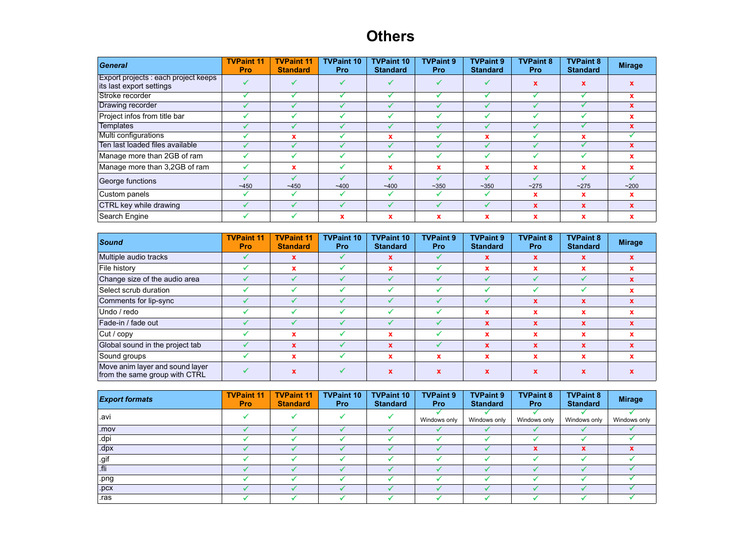## **Others**

| General                                                          | <b>TVPaint 11</b><br><b>Pro</b> | <b>TVPaint 11</b><br><b>Standard</b> | <b>TVPaint 10</b><br><b>Pro</b> | <b>TVPaint 10</b><br><b>Standard</b> | <b>TVPaint 9</b><br><b>Pro</b> | <b>TVPaint 9</b><br><b>Standard</b> | <b>TVPaint 8</b><br><b>Pro</b> | <b>TVPaint 8</b><br><b>Standard</b> | <b>Mirage</b> |
|------------------------------------------------------------------|---------------------------------|--------------------------------------|---------------------------------|--------------------------------------|--------------------------------|-------------------------------------|--------------------------------|-------------------------------------|---------------|
| Export projects : each project keeps<br>its last export settings |                                 |                                      |                                 |                                      |                                |                                     |                                |                                     |               |
| Stroke recorder                                                  |                                 |                                      |                                 |                                      |                                |                                     |                                |                                     | x             |
| Drawing recorder                                                 |                                 |                                      |                                 |                                      |                                |                                     |                                |                                     | x             |
| Project infos from title bar                                     |                                 |                                      |                                 |                                      |                                |                                     |                                |                                     |               |
| <b>Templates</b>                                                 |                                 |                                      |                                 |                                      |                                |                                     |                                |                                     | x             |
| Multi configurations                                             |                                 | x                                    |                                 |                                      |                                | x                                   |                                |                                     |               |
| Ten last loaded files available                                  |                                 |                                      |                                 |                                      |                                |                                     |                                |                                     | $\mathbf x$   |
| Manage more than 2GB of ram                                      |                                 |                                      |                                 |                                      |                                |                                     |                                |                                     | x             |
| Manage more than 3,2GB of ram                                    |                                 | x                                    | v                               | $\mathbf x$                          | x                              | x                                   | x                              |                                     | $\mathbf x$   |
| George functions                                                 | ~1450                           | ~1450                                | ~1400                           | ~1400                                | ~14.350                        | ~14.350                             | ~275                           | ~275                                | ~200          |
| Custom panels                                                    |                                 |                                      | مہ                              |                                      |                                |                                     | x                              | x                                   | x             |
| CTRL key while drawing                                           |                                 |                                      |                                 |                                      |                                |                                     | X                              | x                                   | x             |
| Search Engine                                                    |                                 |                                      | x                               | x                                    | x                              | x                                   |                                |                                     | x             |

| Sound                                                            | <b>TVPaint 11</b><br><b>Pro</b> | <b>TVPaint 11</b><br><b>Standard</b> | <b>TVPaint 10</b><br><b>Pro</b> | <b>TVPaint 10</b><br><b>Standard</b> | <b>TVPaint 9</b><br><b>Pro</b> | <b>TVPaint 9</b><br><b>Standard</b> | <b>TVPaint 8</b><br><b>Pro</b> | <b>TVPaint 8</b><br><b>Standard</b> | <b>Mirage</b> |
|------------------------------------------------------------------|---------------------------------|--------------------------------------|---------------------------------|--------------------------------------|--------------------------------|-------------------------------------|--------------------------------|-------------------------------------|---------------|
| Multiple audio tracks                                            |                                 | x                                    |                                 | x                                    |                                | X                                   | $\mathbf x$                    | $\mathbf x$                         |               |
| File history                                                     |                                 | x                                    |                                 | x                                    |                                | $\mathbf x$                         | x                              | x                                   |               |
| Change size of the audio area                                    |                                 |                                      |                                 |                                      |                                |                                     |                                |                                     |               |
| Select scrub duration                                            |                                 |                                      |                                 |                                      |                                |                                     |                                |                                     |               |
| Comments for lip-sync                                            |                                 | J                                    |                                 |                                      |                                |                                     | $\mathbf x$                    | $\mathbf{x}$                        |               |
| Undo / redo                                                      |                                 |                                      |                                 |                                      |                                | x                                   | x                              | x                                   |               |
| Fade-in / fade out                                               |                                 |                                      |                                 |                                      |                                | $\mathbf x$                         | $\mathbf x$                    | $\mathbf{x}$                        |               |
| Cut / copy                                                       |                                 | x                                    |                                 | x                                    |                                | x                                   | $\mathbf x$                    | x                                   |               |
| Global sound in the project tab                                  |                                 | X                                    |                                 | X                                    |                                | $\mathbf x$                         | $\mathbf{x}$                   | x                                   |               |
| Sound groups                                                     |                                 | x                                    |                                 | x                                    | $\mathbf x$                    | ×                                   | $\mathbf x$                    | x                                   |               |
| Move anim layer and sound layer<br>from the same group with CTRL |                                 | $\mathbf{x}$                         |                                 | $\mathbf x$                          | x                              | $\mathbf x$                         | x                              |                                     |               |

| <b>Export formats</b> | <b>TVPaint 11</b><br><b>Pro</b> | <b>TVPaint 11</b><br><b>Standard</b> | <b>TVPaint 10</b><br><b>Pro</b> | <b>TVPaint 10</b><br><b>Standard</b> | <b>TVPaint 9</b><br><b>Pro</b> | <b>TVPaint 9</b><br><b>Standard</b> | <b>TVPaint 8</b><br><b>Pro</b> | <b>TVPaint 8</b><br><b>Standard</b> | <b>Mirage</b> |
|-----------------------|---------------------------------|--------------------------------------|---------------------------------|--------------------------------------|--------------------------------|-------------------------------------|--------------------------------|-------------------------------------|---------------|
| avi                   |                                 |                                      |                                 |                                      | Windows only                   | Windows only                        | Windows only                   | Windows only                        | Windows only  |
| .mov                  |                                 |                                      |                                 |                                      |                                |                                     |                                |                                     |               |
| .dpi                  |                                 |                                      |                                 |                                      |                                |                                     |                                |                                     |               |
| dpx                   |                                 |                                      |                                 |                                      |                                |                                     | $\mathbf x$                    | v                                   |               |
| .gif                  |                                 |                                      |                                 |                                      |                                |                                     |                                |                                     |               |
| .fli                  |                                 |                                      |                                 |                                      |                                |                                     |                                |                                     |               |
| .png                  |                                 |                                      |                                 |                                      |                                |                                     |                                |                                     |               |
| .pcx                  |                                 |                                      |                                 |                                      |                                |                                     |                                |                                     |               |
| .ras                  |                                 |                                      |                                 |                                      |                                |                                     |                                |                                     |               |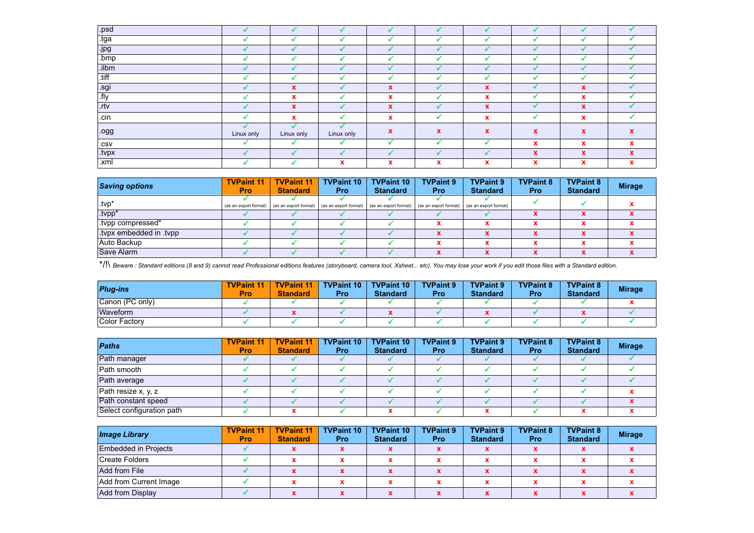| .psd                    |            |                           |            |              | . A                       |                      |                           |             |             |
|-------------------------|------------|---------------------------|------------|--------------|---------------------------|----------------------|---------------------------|-------------|-------------|
| $\overline{\text{tga}}$ |            |                           |            |              |                           |                      |                           |             |             |
| .jpg                    |            | ✔                         |            |              | J                         |                      |                           |             |             |
| $l$ .bmp                |            |                           |            |              |                           |                      |                           |             |             |
| .ilbm                   |            | ✔                         |            |              | ✔                         |                      |                           |             |             |
| $\overline{t}$          |            |                           |            |              |                           |                      |                           |             |             |
| .sgi                    |            | $\boldsymbol{\mathsf{X}}$ |            | $\mathbf{x}$ | ◢                         | $\mathbf x$          |                           | $\mathbf x$ |             |
| $\sqrt{f}$ . fly        |            | $\boldsymbol{\mathsf{x}}$ |            | $\mathbf x$  |                           | $\mathbf x$          |                           | x           |             |
| $\sqrt{r}$              |            | $\boldsymbol{\mathsf{X}}$ |            | $\mathbf x$  | s                         | $\mathbf x$          |                           | $\mathbf x$ |             |
| cin                     |            | $\mathbf{x}$              |            | $\mathbf{x}$ |                           | $\mathbf x$          |                           | x           |             |
| ogg                     | Linux only | ✓<br>Linux only           | Linux only | $\mathbf x$  | $\boldsymbol{\mathsf{x}}$ | $\boldsymbol{x}$     | $\boldsymbol{\mathsf{x}}$ | x           |             |
| $ \mathsf{.CSV} $       |            |                           |            |              |                           |                      | $\mathbf x$               | x           |             |
| .tvpx                   |            |                           |            |              |                           |                      | $\mathbf x$               | $\mathbf x$ | $\mathbf x$ |
| .xml                    |            |                           | x          | x            |                           | $\ddot{\phantom{a}}$ | x                         |             | x           |

| <b>Saving options</b>  | <b>TVPaint 11</b><br><b>Pro</b> | <b>TVPaint 11</b><br><b>Standard</b> | <b>TVPaint 10</b><br><b>Pro</b> | <b>TVPaint 10</b><br><b>Standard</b> | <b>TVPaint 9</b><br><b>Pro</b> | <b>TVPaint 9</b><br><b>Standard</b> | <b>TVPaint 8</b><br><b>Pro</b> | <b>TVPaint 8</b><br><b>Standard</b> | <b>Mirage</b> |
|------------------------|---------------------------------|--------------------------------------|---------------------------------|--------------------------------------|--------------------------------|-------------------------------------|--------------------------------|-------------------------------------|---------------|
| ∴tvp*                  | (as an export format)           | (as an export format)                | (as an export format)           | (as an export format)                | (as an export format)          | (as an export format)               |                                |                                     |               |
| .tvpp*                 |                                 |                                      |                                 |                                      |                                |                                     |                                |                                     |               |
| tvpp compressed*       |                                 |                                      |                                 |                                      |                                |                                     |                                |                                     |               |
| typx embedded in typp. |                                 |                                      |                                 |                                      |                                |                                     |                                |                                     |               |
| Auto Backup            |                                 |                                      |                                 |                                      |                                |                                     |                                |                                     |               |
| Save Alarm             |                                 |                                      |                                 |                                      |                                |                                     |                                |                                     |               |

\*/!\ *Beware : Standard editions (8 and 9) cannot read Professional editions features (storyboard, camera tool, Xsheet... etc). You may lose your work if you edit those files with a Standard edition.*

| <b>Plug-ins</b> | <b>TVPaint 11</b><br>Pro | <b>TVPaint 11</b><br><b>Standard</b> | <b>TVPaint 10</b><br>Pro | <b>TVPaint 10</b><br><b>Standard</b> | <b>TVPaint 9</b><br><b>Pro</b> | <b>TVPaint 9</b><br><b>Standard</b> | <b>TVPaint 8</b><br>Pro | <b>TVPaint 8</b><br><b>Standard</b> | <b>Mirage</b> |
|-----------------|--------------------------|--------------------------------------|--------------------------|--------------------------------------|--------------------------------|-------------------------------------|-------------------------|-------------------------------------|---------------|
| Canon (PC only) |                          |                                      |                          |                                      |                                |                                     |                         |                                     |               |
| <b>Waveform</b> |                          |                                      |                          |                                      |                                |                                     |                         |                                     |               |
| Color Factory   |                          |                                      |                          |                                      |                                |                                     |                         |                                     |               |

| <b>Paths</b>              | <b>TVPaint 11</b><br><b>Pro</b> | <b>TVPaint 11</b><br><b>Standard</b> | <b>TVPaint 10</b><br><b>Pro</b> | <b>TVPaint 10</b><br><b>Standard</b> | <b>TVPaint 9</b><br><b>Pro</b> | <b>TVPaint 9</b><br><b>Standard</b> | <b>TVPaint 8</b><br>Pro | <b>TVPaint 8</b><br><b>Standard</b> | <b>Mirage</b> |
|---------------------------|---------------------------------|--------------------------------------|---------------------------------|--------------------------------------|--------------------------------|-------------------------------------|-------------------------|-------------------------------------|---------------|
| Path manager              |                                 |                                      |                                 |                                      |                                |                                     |                         |                                     |               |
| Path smooth               |                                 |                                      |                                 |                                      |                                |                                     |                         |                                     |               |
| Path average              |                                 |                                      |                                 |                                      |                                |                                     |                         |                                     |               |
| Path resize $x, y, z$     |                                 |                                      |                                 |                                      |                                |                                     |                         |                                     |               |
| Path constant speed       |                                 |                                      |                                 |                                      |                                |                                     |                         |                                     |               |
| Select configuration path |                                 |                                      |                                 |                                      |                                |                                     |                         |                                     |               |

| <b>Image Library</b>        | <b>TVPaint 11</b><br><b>Pro</b> | <b>TVPaint 11</b><br><b>Standard</b> | <b>TVPaint 10</b><br><b>Pro</b> | <b>TVPaint 10</b><br><b>Standard</b> | <b>TVPaint 9</b><br><b>Pro</b> | <b>TVPaint 9</b><br><b>Standard</b> | <b>TVPaint 8</b><br><b>Pro</b> | <b>TVPaint 8</b><br><b>Standard</b> | <b>Mirage</b> |
|-----------------------------|---------------------------------|--------------------------------------|---------------------------------|--------------------------------------|--------------------------------|-------------------------------------|--------------------------------|-------------------------------------|---------------|
| <b>Embedded in Projects</b> |                                 |                                      |                                 |                                      |                                |                                     |                                |                                     |               |
| Create Folders              |                                 |                                      |                                 |                                      |                                |                                     |                                |                                     |               |
| Add from File               |                                 |                                      |                                 |                                      |                                |                                     |                                |                                     |               |
| Add from Current Image      |                                 |                                      |                                 |                                      |                                |                                     |                                |                                     |               |
| <b>Add from Display</b>     |                                 |                                      |                                 |                                      |                                |                                     |                                |                                     |               |